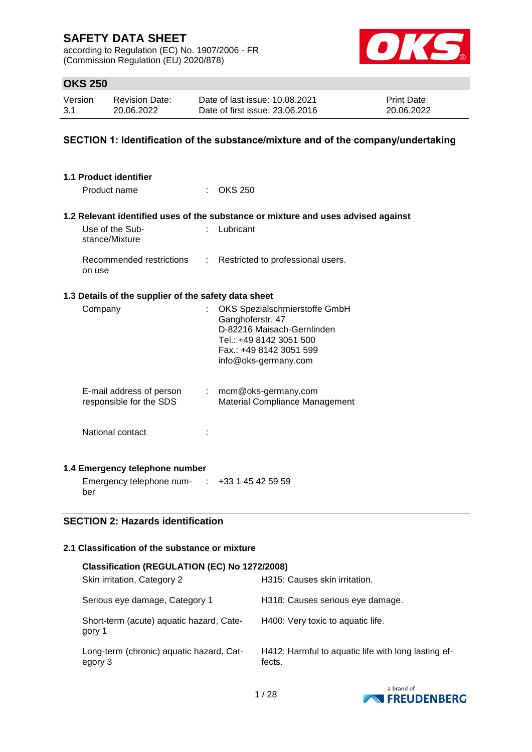according to Regulation (EC) No. 1907/2006 - FR (Commission Regulation (EU) 2020/878)



### **OKS 250**

| Version | <b>Revision Date:</b> | Date of last issue: 10.08.2021  | <b>Print Date:</b> |
|---------|-----------------------|---------------------------------|--------------------|
| 3.1     | 20.06.2022            | Date of first issue: 23,06,2016 | 20.06.2022         |

### **SECTION 1: Identification of the substance/mixture and of the company/undertaking**

| 1.1 Product identifier                               |    |                                                                                                                                                               |  |  |  |
|------------------------------------------------------|----|---------------------------------------------------------------------------------------------------------------------------------------------------------------|--|--|--|
| Product name                                         |    | $:$ OKS 250                                                                                                                                                   |  |  |  |
|                                                      |    | 1.2 Relevant identified uses of the substance or mixture and uses advised against                                                                             |  |  |  |
| Use of the Sub-<br>stance/Mixture                    | t. | Lubricant                                                                                                                                                     |  |  |  |
| Recommended restrictions<br>on use                   | t. | Restricted to professional users.                                                                                                                             |  |  |  |
| 1.3 Details of the supplier of the safety data sheet |    |                                                                                                                                                               |  |  |  |
| Company                                              | ÷. | OKS Spezialschmierstoffe GmbH<br>Ganghoferstr. 47<br>D-82216 Maisach-Gernlinden<br>Tel.: +49 8142 3051 500<br>Fax.: +49 8142 3051 599<br>info@oks-germany.com |  |  |  |
| E-mail address of person<br>responsible for the SDS  |    | $:$ mcm@oks-germany.com<br><b>Material Compliance Management</b>                                                                                              |  |  |  |
| National contact                                     |    |                                                                                                                                                               |  |  |  |
| 1.4 Emergency telephone number                       |    |                                                                                                                                                               |  |  |  |
| Emergency telephone num- : +33 1 45 42 59 59<br>ber  |    |                                                                                                                                                               |  |  |  |
| <b>SECTION 2: Hazards identification</b>             |    |                                                                                                                                                               |  |  |  |

### **2.1 Classification of the substance or mixture**

| Classification (REGULATION (EC) No 1272/2008)       |                                                               |  |  |  |  |  |
|-----------------------------------------------------|---------------------------------------------------------------|--|--|--|--|--|
| Skin irritation, Category 2                         | H315: Causes skin irritation.                                 |  |  |  |  |  |
| Serious eye damage, Category 1                      | H318: Causes serious eye damage.                              |  |  |  |  |  |
| Short-term (acute) aquatic hazard, Cate-<br>gory 1  | H400: Very toxic to aquatic life.                             |  |  |  |  |  |
| Long-term (chronic) aquatic hazard, Cat-<br>egory 3 | H412: Harmful to aquatic life with long lasting ef-<br>fects. |  |  |  |  |  |

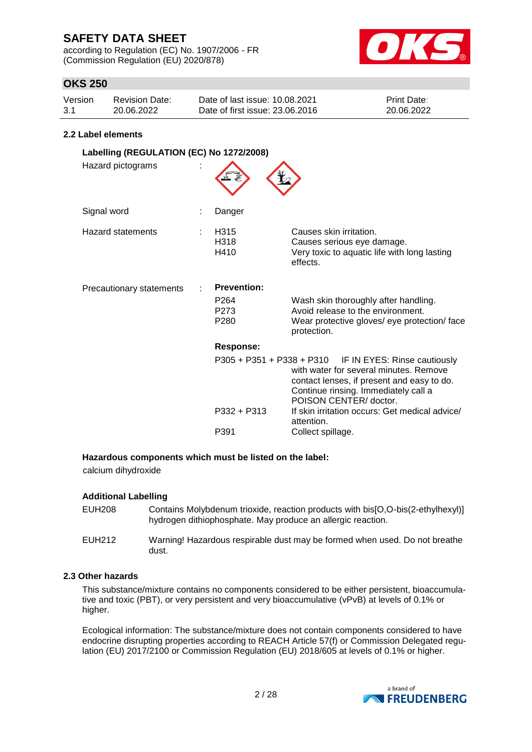according to Regulation (EC) No. 1907/2006 - FR (Commission Regulation (EU) 2020/878)



### **OKS 250**

| Version | Revision Date: | Date of last issue: 10.08.2021  | <b>Print Date:</b> |
|---------|----------------|---------------------------------|--------------------|
| 3.1     | 20.06.2022     | Date of first issue: 23,06,2016 | 20.06.2022         |

#### **2.2 Label elements**

| Labelling (REGULATION (EC) No 1272/2008)<br>Hazard pictograms |  |                                                                    |                                                                                                                                                                                                                    |  |
|---------------------------------------------------------------|--|--------------------------------------------------------------------|--------------------------------------------------------------------------------------------------------------------------------------------------------------------------------------------------------------------|--|
| Signal word                                                   |  | Danger                                                             |                                                                                                                                                                                                                    |  |
| Hazard statements                                             |  | H315<br>H318<br>H410                                               | Causes skin irritation.<br>Causes serious eye damage.<br>Very toxic to aquatic life with long lasting<br>effects.                                                                                                  |  |
| Precautionary statements                                      |  | <b>Prevention:</b><br>P <sub>264</sub><br>P273<br>P <sub>280</sub> | Wash skin thoroughly after handling.<br>Avoid release to the environment.<br>Wear protective gloves/ eye protection/ face<br>protection.                                                                           |  |
|                                                               |  | Response:                                                          |                                                                                                                                                                                                                    |  |
|                                                               |  |                                                                    | $P305 + P351 + P338 + P310$ IF IN EYES: Rinse cautiously<br>with water for several minutes. Remove<br>contact lenses, if present and easy to do.<br>Continue rinsing. Immediately call a<br>POISON CENTER/ doctor. |  |
|                                                               |  | P332 + P313                                                        | If skin irritation occurs: Get medical advice/<br>attention.                                                                                                                                                       |  |
|                                                               |  | P391                                                               | Collect spillage.                                                                                                                                                                                                  |  |

### **Hazardous components which must be listed on the label:**

calcium dihydroxide

### **Additional Labelling**

| EUH208 | Contains Molybdenum trioxide, reaction products with bis[O,O-bis(2-ethylhexyl)]<br>hydrogen dithiophosphate. May produce an allergic reaction. |
|--------|------------------------------------------------------------------------------------------------------------------------------------------------|
| EUH212 | Warning! Hazardous respirable dust may be formed when used. Do not breathe<br>dust.                                                            |

### **2.3 Other hazards**

This substance/mixture contains no components considered to be either persistent, bioaccumulative and toxic (PBT), or very persistent and very bioaccumulative (vPvB) at levels of 0.1% or higher.

Ecological information: The substance/mixture does not contain components considered to have endocrine disrupting properties according to REACH Article 57(f) or Commission Delegated regulation (EU) 2017/2100 or Commission Regulation (EU) 2018/605 at levels of 0.1% or higher.

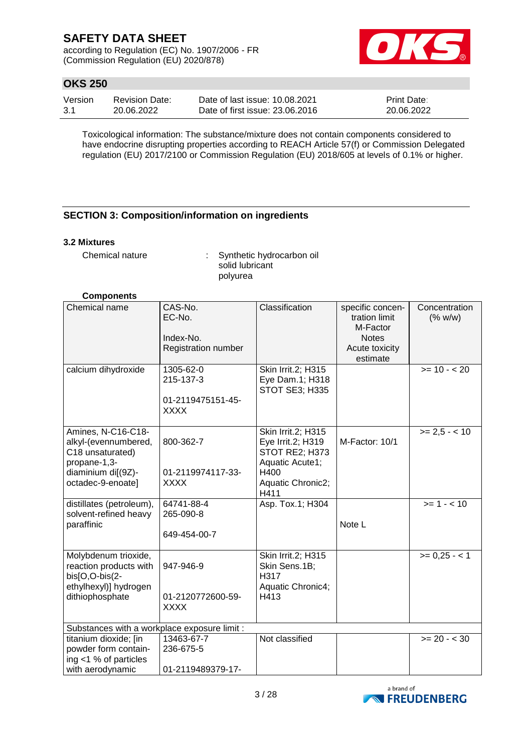according to Regulation (EC) No. 1907/2006 - FR (Commission Regulation (EU) 2020/878)



### **OKS 250**

| Version | <b>Revision Date:</b> | Date of last issue: 10.08.2021  | <b>Print Date:</b> |
|---------|-----------------------|---------------------------------|--------------------|
| -3.1    | 20.06.2022            | Date of first issue: 23,06,2016 | 20.06.2022         |

Toxicological information: The substance/mixture does not contain components considered to have endocrine disrupting properties according to REACH Article 57(f) or Commission Delegated regulation (EU) 2017/2100 or Commission Regulation (EU) 2018/605 at levels of 0.1% or higher.

### **SECTION 3: Composition/information on ingredients**

### **3.2 Mixtures**

Chemical nature : Synthetic hydrocarbon oil solid lubricant polyurea

### **Components**

| Chemical name                                                                                                             | CAS-No.<br>EC-No.<br>Index-No.<br>Registration number      | Classification                                                                                                    | specific concen-<br>tration limit<br>M-Factor<br><b>Notes</b><br>Acute toxicity<br>estimate | Concentration<br>(% w/w) |
|---------------------------------------------------------------------------------------------------------------------------|------------------------------------------------------------|-------------------------------------------------------------------------------------------------------------------|---------------------------------------------------------------------------------------------|--------------------------|
| calcium dihydroxide                                                                                                       | 1305-62-0<br>215-137-3<br>01-2119475151-45-<br><b>XXXX</b> | Skin Irrit.2; H315<br>Eye Dam.1; H318<br>STOT SE3; H335                                                           |                                                                                             | $>= 10 - 20$             |
| Amines, N-C16-C18-<br>alkyl-(evennumbered,<br>C18 unsaturated)<br>propane-1,3-<br>diaminium di[(9Z)-<br>octadec-9-enoate] | 800-362-7<br>01-2119974117-33-<br><b>XXXX</b>              | Skin Irrit.2; H315<br>Eye Irrit.2; H319<br>STOT RE2; H373<br>Aquatic Acute1;<br>H400<br>Aquatic Chronic2;<br>H411 | M-Factor: 10/1                                                                              | $>= 2.5 - 10$            |
| distillates (petroleum),<br>solvent-refined heavy<br>paraffinic                                                           | 64741-88-4<br>265-090-8<br>649-454-00-7                    | Asp. Tox.1; H304                                                                                                  | Note L                                                                                      | $>= 1 - 10$              |
| Molybdenum trioxide,<br>reaction products with<br>bis[O,O-bis(2-<br>ethylhexyl)] hydrogen<br>dithiophosphate              | 947-946-9<br>01-2120772600-59-<br><b>XXXX</b>              | Skin Irrit.2; H315<br>Skin Sens.1B;<br>H317<br>Aquatic Chronic4;<br>H413                                          |                                                                                             | $>= 0,25 - 1$            |
| Substances with a workplace exposure limit :                                                                              |                                                            |                                                                                                                   |                                                                                             |                          |
| titanium dioxide; [in<br>powder form contain-<br>ing <1 % of particles<br>with aerodynamic                                | 13463-67-7<br>236-675-5<br>01-2119489379-17-               | Not classified                                                                                                    |                                                                                             | $>= 20 - 30$             |

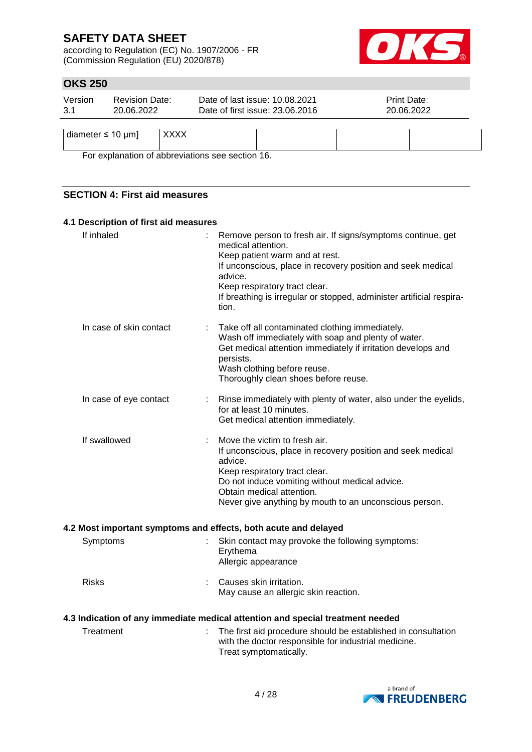according to Regulation (EC) No. 1907/2006 - FR (Commission Regulation (EU) 2020/878)



### **OKS 250**

| Version<br>3.1             | <b>Revision Date:</b><br>20.06.2022 |             | Date of last issue: 10.08.2021<br>Date of first issue: 23.06.2016 | Print Date:<br>20.06.2022 |
|----------------------------|-------------------------------------|-------------|-------------------------------------------------------------------|---------------------------|
| diameter $\leq 10 \mu m$ ] |                                     | <b>XXXX</b> |                                                                   |                           |

For explanation of abbreviations see section 16.

### **SECTION 4: First aid measures**

### **4.1 Description of first aid measures**

| If inhaled              | Remove person to fresh air. If signs/symptoms continue, get<br>medical attention.<br>Keep patient warm and at rest.<br>If unconscious, place in recovery position and seek medical<br>advice.<br>Keep respiratory tract clear.<br>If breathing is irregular or stopped, administer artificial respira-<br>tion. |
|-------------------------|-----------------------------------------------------------------------------------------------------------------------------------------------------------------------------------------------------------------------------------------------------------------------------------------------------------------|
| In case of skin contact | Take off all contaminated clothing immediately.<br>Wash off immediately with soap and plenty of water.<br>Get medical attention immediately if irritation develops and<br>persists.<br>Wash clothing before reuse.<br>Thoroughly clean shoes before reuse.                                                      |
| In case of eye contact  | Rinse immediately with plenty of water, also under the eyelids,<br>for at least 10 minutes.<br>Get medical attention immediately.                                                                                                                                                                               |
| If swallowed            | Move the victim to fresh air.<br>If unconscious, place in recovery position and seek medical<br>advice.<br>Keep respiratory tract clear.<br>Do not induce vomiting without medical advice.<br>Obtain medical attention.<br>Never give anything by mouth to an unconscious person.                               |
|                         | 4.2 Most important symptoms and effects, both acute and delayed                                                                                                                                                                                                                                                 |
| Symptoms                | Skin contact may provoke the following symptoms:<br>Erythema<br>Allergic appearance                                                                                                                                                                                                                             |
| <b>Risks</b>            | Causes skin irritation.<br>May cause an allergic skin reaction.                                                                                                                                                                                                                                                 |
|                         | 4.3 Indication of any immediate medical attention and special treatment needed                                                                                                                                                                                                                                  |
| Treatment               | The first aid procedure should be established in consultation<br>with the doctor responsible for industrial medicine.<br>Treat symptomatically.                                                                                                                                                                 |
|                         |                                                                                                                                                                                                                                                                                                                 |

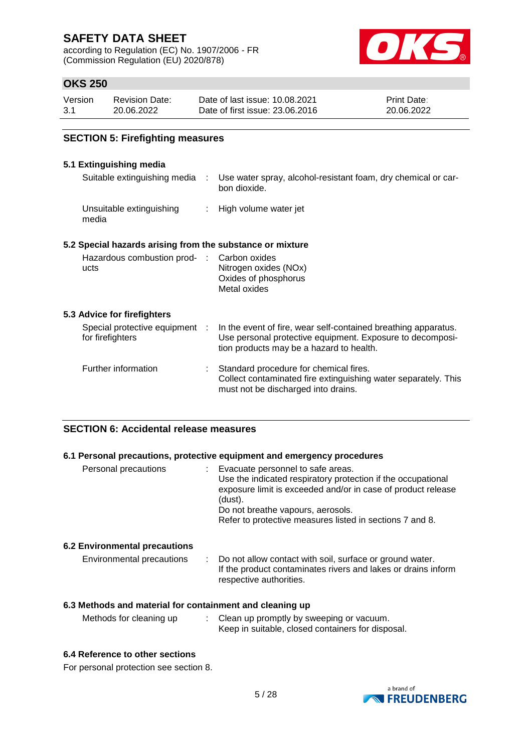according to Regulation (EC) No. 1907/2006 - FR (Commission Regulation (EU) 2020/878)



### **OKS 250**

| Version | <b>Revision Date:</b> | Date of last issue: 10.08.2021  | <b>Print Date:</b> |
|---------|-----------------------|---------------------------------|--------------------|
| -3.1    | 20.06.2022            | Date of first issue: 23,06,2016 | 20.06.2022         |

### **SECTION 5: Firefighting measures**

### **5.1 Extinguishing media**

| Suitable extinguishing media :                            | Use water spray, alcohol-resistant foam, dry chemical or car-<br>bon dioxide.                                                                                           |
|-----------------------------------------------------------|-------------------------------------------------------------------------------------------------------------------------------------------------------------------------|
| Unsuitable extinguishing<br>media                         | : High volume water jet                                                                                                                                                 |
| 5.2 Special hazards arising from the substance or mixture |                                                                                                                                                                         |
| Hazardous combustion prod- :<br>ucts                      | Carbon oxides<br>Nitrogen oxides (NOx)<br>Oxides of phosphorus<br>Metal oxides                                                                                          |
| 5.3 Advice for firefighters                               |                                                                                                                                                                         |
| Special protective equipment :<br>for firefighters        | In the event of fire, wear self-contained breathing apparatus.<br>Use personal protective equipment. Exposure to decomposi-<br>tion products may be a hazard to health. |
| Further information                                       | Standard procedure for chemical fires.<br>Collect contaminated fire extinguishing water separately. This<br>must not be discharged into drains.                         |

### **SECTION 6: Accidental release measures**

#### **6.1 Personal precautions, protective equipment and emergency procedures**

| Personal precautions | Evacuate personnel to safe areas.<br>Use the indicated respiratory protection if the occupational<br>exposure limit is exceeded and/or in case of product release<br>(dust).<br>Do not breathe vapours, aerosols.<br>Refer to protective measures listed in sections 7 and 8. |
|----------------------|-------------------------------------------------------------------------------------------------------------------------------------------------------------------------------------------------------------------------------------------------------------------------------|
|                      |                                                                                                                                                                                                                                                                               |

### **6.2 Environmental precautions**

| Environmental precautions | : Do not allow contact with soil, surface or ground water.    |
|---------------------------|---------------------------------------------------------------|
|                           | If the product contaminates rivers and lakes or drains inform |
|                           | respective authorities.                                       |

### **6.3 Methods and material for containment and cleaning up**

| Methods for cleaning up | Clean up promptly by sweeping or vacuum.          |
|-------------------------|---------------------------------------------------|
|                         | Keep in suitable, closed containers for disposal. |

#### **6.4 Reference to other sections**

For personal protection see section 8.

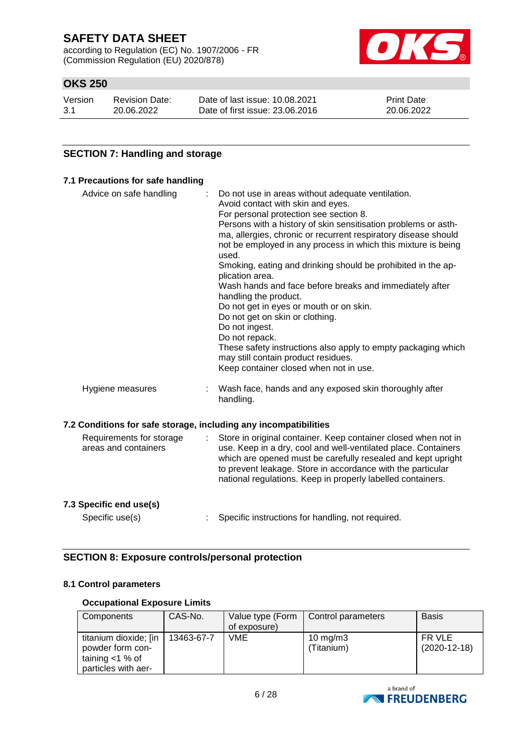according to Regulation (EC) No. 1907/2006 - FR (Commission Regulation (EU) 2020/878)



### **OKS 250**

| Version | <b>Revision Date:</b> | Date of last issue: 10.08.2021  | <b>Print Date:</b> |
|---------|-----------------------|---------------------------------|--------------------|
| 3.1     | 20.06.2022            | Date of first issue: 23,06,2016 | 20.06.2022         |

### **SECTION 7: Handling and storage**

#### **7.1 Precautions for safe handling**

| Advice on safe handling                                          |   | Do not use in areas without adequate ventilation.<br>Avoid contact with skin and eyes.<br>For personal protection see section 8.<br>Persons with a history of skin sensitisation problems or asth-<br>ma, allergies, chronic or recurrent respiratory disease should<br>not be employed in any process in which this mixture is being<br>used.<br>Smoking, eating and drinking should be prohibited in the ap-<br>plication area.<br>Wash hands and face before breaks and immediately after<br>handling the product.<br>Do not get in eyes or mouth or on skin.<br>Do not get on skin or clothing.<br>Do not ingest.<br>Do not repack.<br>These safety instructions also apply to empty packaging which<br>may still contain product residues.<br>Keep container closed when not in use. |
|------------------------------------------------------------------|---|-------------------------------------------------------------------------------------------------------------------------------------------------------------------------------------------------------------------------------------------------------------------------------------------------------------------------------------------------------------------------------------------------------------------------------------------------------------------------------------------------------------------------------------------------------------------------------------------------------------------------------------------------------------------------------------------------------------------------------------------------------------------------------------------|
| Hygiene measures                                                 |   | Wash face, hands and any exposed skin thoroughly after<br>handling.                                                                                                                                                                                                                                                                                                                                                                                                                                                                                                                                                                                                                                                                                                                       |
| 7.2 Conditions for safe storage, including any incompatibilities |   |                                                                                                                                                                                                                                                                                                                                                                                                                                                                                                                                                                                                                                                                                                                                                                                           |
| Requirements for storage<br>areas and containers                 | ÷ | Store in original container. Keep container closed when not in<br>use. Keep in a dry, cool and well-ventilated place. Containers<br>which are opened must be carefully resealed and kept upright<br>to prevent leakage. Store in accordance with the particular<br>national regulations. Keep in properly labelled containers.                                                                                                                                                                                                                                                                                                                                                                                                                                                            |

### **7.3 Specific end use(s)**

Specific use(s) : Specific instructions for handling, not required.

### **SECTION 8: Exposure controls/personal protection**

### **8.1 Control parameters**

#### **Occupational Exposure Limits**

| Components                                                                             | CAS-No.    | Value type (Form<br>of exposure) | Control parameters        | <b>Basis</b>             |
|----------------------------------------------------------------------------------------|------------|----------------------------------|---------------------------|--------------------------|
| titanium dioxide; [in<br>powder form con-<br>taining $<$ 1 % of<br>particles with aer- | 13463-67-7 | VME                              | 10 mg/m $3$<br>(Titanium) | FR VLE<br>$(2020-12-18)$ |

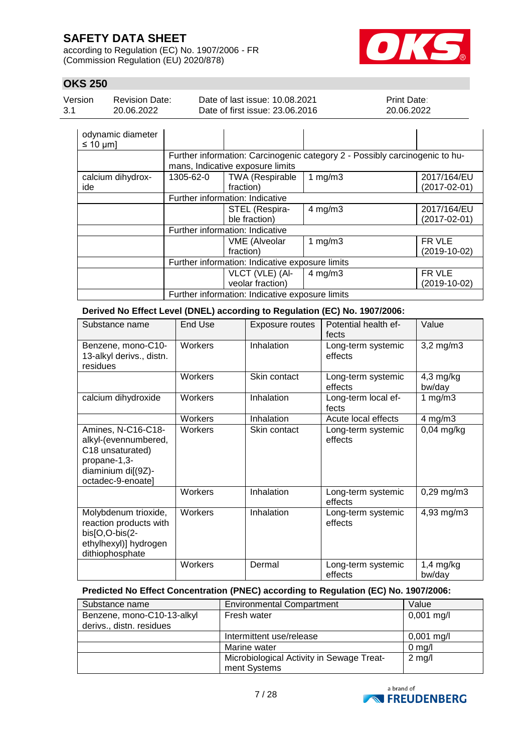according to Regulation (EC) No. 1907/2006 - FR (Commission Regulation (EU) 2020/878)



### **OKS 250**

| Version | Revision Date: | Date of last issue: 10.08.2021  | <b>Print Date:</b> |
|---------|----------------|---------------------------------|--------------------|
| 3.1     | 20.06.2022     | Date of first issue: 23,06,2016 | 20.06.2022         |

| odynamic diameter<br>$\leq 10$ µm] |           |                                                 |                                                                             |                                   |
|------------------------------------|-----------|-------------------------------------------------|-----------------------------------------------------------------------------|-----------------------------------|
|                                    |           | mans, Indicative exposure limits                | Further information: Carcinogenic category 2 - Possibly carcinogenic to hu- |                                   |
| calcium dihydrox-<br>ide           | 1305-62-0 | <b>TWA (Respirable</b><br>fraction)             | 1 $mg/m3$                                                                   | 2017/164/EU<br>$(2017 - 02 - 01)$ |
|                                    |           | Further information: Indicative                 |                                                                             |                                   |
|                                    |           | STEL (Respira-                                  | $4$ mg/m $3$                                                                | 2017/164/EU                       |
|                                    |           | ble fraction)                                   |                                                                             | $(2017 - 02 - 01)$                |
|                                    |           | Further information: Indicative                 |                                                                             |                                   |
|                                    |           | <b>VME</b> (Alveolar                            | 1 $mg/m3$                                                                   | FR VLE                            |
|                                    |           | fraction)                                       |                                                                             | $(2019-10-02)$                    |
|                                    |           | Further information: Indicative exposure limits |                                                                             |                                   |
|                                    |           | VLCT (VLE) (AI-                                 | $4$ mg/m $3$                                                                | FR VLE                            |
|                                    |           | veolar fraction)                                |                                                                             | $(2019-10-02)$                    |
|                                    |           | Further information: Indicative exposure limits |                                                                             |                                   |

**Derived No Effect Level (DNEL) according to Regulation (EC) No. 1907/2006:**

| Substance name                                                                                                            | <b>End Use</b> | <b>Exposure routes</b> | Potential health ef-<br>fects | Value                 |
|---------------------------------------------------------------------------------------------------------------------------|----------------|------------------------|-------------------------------|-----------------------|
| Benzene, mono-C10-<br>13-alkyl derivs., distn.<br>residues                                                                | Workers        | Inhalation             | Long-term systemic<br>effects | $3,2$ mg/m $3$        |
|                                                                                                                           | Workers        | Skin contact           | Long-term systemic<br>effects | $4,3$ mg/kg<br>bw/day |
| calcium dihydroxide                                                                                                       | Workers        | Inhalation             | Long-term local ef-<br>fects  | 1 $mg/m3$             |
|                                                                                                                           | Workers        | Inhalation             | Acute local effects           | $4 \text{ mg/m}$ 3    |
| Amines, N-C16-C18-<br>alkyl-(evennumbered,<br>C18 unsaturated)<br>propane-1,3-<br>diaminium di[(9Z)-<br>octadec-9-enoate] | Workers        | Skin contact           | Long-term systemic<br>effects | $0,04$ mg/kg          |
|                                                                                                                           | Workers        | Inhalation             | Long-term systemic<br>effects | $0,29$ mg/m $3$       |
| Molybdenum trioxide,<br>reaction products with<br>bis[O,O-bis(2-<br>ethylhexyl)] hydrogen<br>dithiophosphate              | Workers        | Inhalation             | Long-term systemic<br>effects | 4,93 mg/m3            |
|                                                                                                                           | Workers        | Dermal                 | Long-term systemic<br>effects | $1,4$ mg/kg<br>bw/day |

### **Predicted No Effect Concentration (PNEC) according to Regulation (EC) No. 1907/2006:**

| Substance name             | <b>Environmental Compartment</b>          | Value            |
|----------------------------|-------------------------------------------|------------------|
| Benzene, mono-C10-13-alkyl | Fresh water                               | $0,001$ mg/l     |
| derivs., distn. residues   |                                           |                  |
|                            | Intermittent use/release                  | $0,001$ mg/l     |
|                            | Marine water                              | $0 \text{ mg/l}$ |
|                            | Microbiological Activity in Sewage Treat- | $2$ mg/l         |
|                            | ment Systems                              |                  |

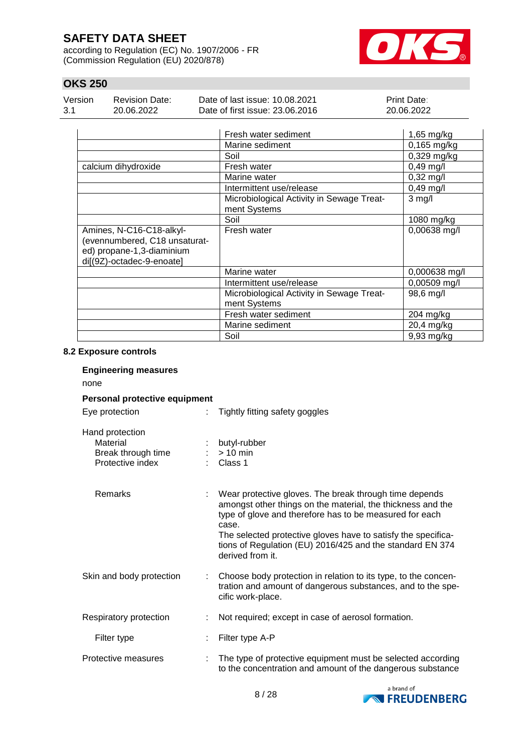according to Regulation (EC) No. 1907/2006 - FR (Commission Regulation (EU) 2020/878)



### **OKS 250**

| Version | <b>Revision Date:</b> | Date of last issue: 10.08.2021  | <b>Print Date:</b> |
|---------|-----------------------|---------------------------------|--------------------|
| -3.1    | 20.06.2022            | Date of first issue: 23,06,2016 | 20.06.2022         |

|                                                                                                                     | Fresh water sediment                                      | $1,65$ mg/kg        |
|---------------------------------------------------------------------------------------------------------------------|-----------------------------------------------------------|---------------------|
|                                                                                                                     | Marine sediment                                           | $0,165$ mg/kg       |
|                                                                                                                     | Soil                                                      | $0,329$ mg/kg       |
| calcium dihydroxide                                                                                                 | Fresh water                                               | $0,49$ mg/l         |
|                                                                                                                     | Marine water                                              | $0,32 \text{ mg/l}$ |
|                                                                                                                     | Intermittent use/release                                  | $0,49$ mg/l         |
|                                                                                                                     | Microbiological Activity in Sewage Treat-<br>ment Systems | $3$ mg/l            |
|                                                                                                                     | Soil                                                      | 1080 mg/kg          |
| Amines, N-C16-C18-alkyl-<br>(evennumbered, C18 unsaturat-<br>ed) propane-1,3-diaminium<br>di[(9Z)-octadec-9-enoate] | Fresh water                                               | 0,00638 mg/l        |
|                                                                                                                     | Marine water                                              | 0,000638 mg/l       |
|                                                                                                                     | Intermittent use/release                                  | $0,00509$ mg/l      |
|                                                                                                                     | Microbiological Activity in Sewage Treat-<br>ment Systems | 98,6 mg/l           |
|                                                                                                                     | Fresh water sediment                                      | 204 mg/kg           |
|                                                                                                                     | Marine sediment                                           | 20,4 mg/kg          |
|                                                                                                                     | Soil                                                      | 9,93 mg/kg          |

#### **8.2 Exposure controls**

### **Engineering measures**

none

### **Personal protective equipment** Eye protection : Tightly fitting safety goggles

| Hand protection<br>Material<br>Break through time<br>Protective index | : butyl-rubber<br>$:$ > 10 min<br>: Class 1 |
|-----------------------------------------------------------------------|---------------------------------------------|
| Remarks                                                               | Wear protectiv                              |

| Remarks                  | ÷  | Wear protective gloves. The break through time depends<br>amongst other things on the material, the thickness and the<br>type of glove and therefore has to be measured for each<br>case.<br>The selected protective gloves have to satisfy the specifica-<br>tions of Regulation (EU) 2016/425 and the standard EN 374<br>derived from it. |
|--------------------------|----|---------------------------------------------------------------------------------------------------------------------------------------------------------------------------------------------------------------------------------------------------------------------------------------------------------------------------------------------|
| Skin and body protection | ÷. | Choose body protection in relation to its type, to the concen-<br>tration and amount of dangerous substances, and to the spe-<br>cific work-place.                                                                                                                                                                                          |
| Respiratory protection   | ÷  | Not required; except in case of aerosol formation.                                                                                                                                                                                                                                                                                          |
| Filter type              |    | Filter type A-P                                                                                                                                                                                                                                                                                                                             |
|                          |    |                                                                                                                                                                                                                                                                                                                                             |

Protective measures : The type of protective equipment must be selected according to the concentration and amount of the dangerous substance

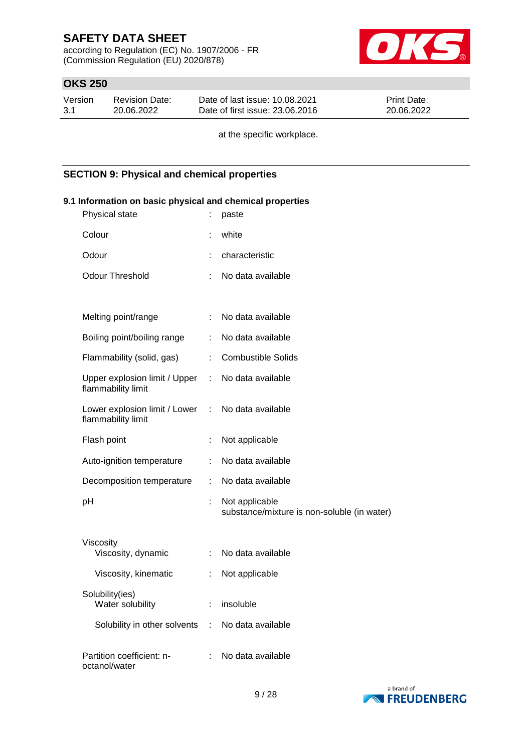according to Regulation (EC) No. 1907/2006 - FR (Commission Regulation (EU) 2020/878)



### **OKS 250**

| Version | <b>Revision Date:</b> | Date of last issue: 10.08.2021  | <b>Print Date:</b> |
|---------|-----------------------|---------------------------------|--------------------|
| 3.1     | 20.06.2022            | Date of first issue: 23,06,2016 | 20.06.2022         |

at the specific workplace.

### **SECTION 9: Physical and chemical properties**

# **9.1 Information on basic physical and chemical properties** Physical state : paste Colour : white Odour : characteristic Odour Threshold : No data available Melting point/range : No data available Boiling point/boiling range : No data available Flammability (solid, gas) : Combustible Solids Upper explosion limit / Upper flammability limit : No data available Lower explosion limit / Lower : flammability limit No data available Flash point : Not applicable Auto-ignition temperature : No data available Decomposition temperature : No data available pH : Not applicable substance/mixture is non-soluble (in water) Viscosity Viscosity, dynamic : No data available Viscosity, kinematic : Not applicable Solubility(ies) Water solubility **: insoluble** Solubility in other solvents : No data available Partition coefficient: noctanol/water : No data available

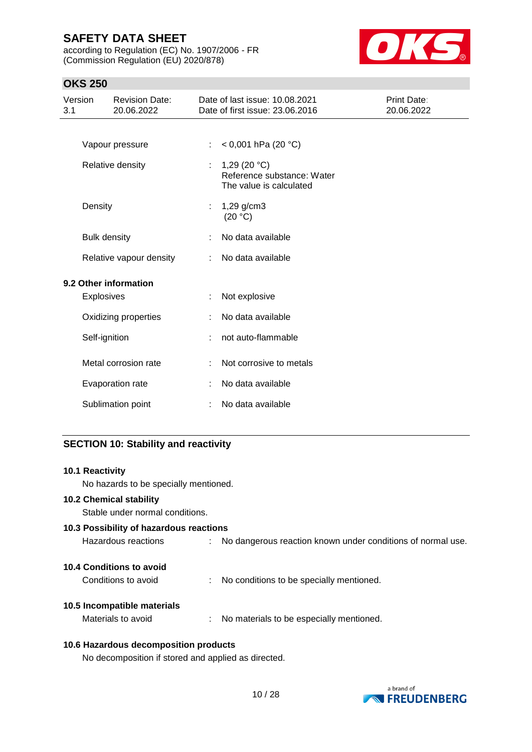according to Regulation (EC) No. 1907/2006 - FR (Commission Regulation (EU) 2020/878)



### **OKS 250**

| Version<br>3.1 |                     | <b>Revision Date:</b><br>20.06.2022 |    | Date of last issue: 10.08.2021<br>Date of first issue: 23.06.2016       | Print Date:<br>20.06.2022 |
|----------------|---------------------|-------------------------------------|----|-------------------------------------------------------------------------|---------------------------|
|                |                     | Vapour pressure                     |    | < 0,001 hPa (20 $^{\circ}$ C)                                           |                           |
|                |                     | Relative density                    | ÷. | 1,29 $(20 °C)$<br>Reference substance: Water<br>The value is calculated |                           |
|                | Density             |                                     |    | 1,29 g/cm3<br>(20 °C)                                                   |                           |
|                | <b>Bulk density</b> |                                     |    | No data available                                                       |                           |
|                |                     | Relative vapour density             |    | No data available                                                       |                           |
|                |                     | 9.2 Other information               |    |                                                                         |                           |
|                | Explosives          |                                     |    | Not explosive                                                           |                           |
|                |                     | Oxidizing properties                |    | No data available                                                       |                           |
|                | Self-ignition       |                                     |    | not auto-flammable                                                      |                           |
|                |                     | Metal corrosion rate                |    | Not corrosive to metals                                                 |                           |
|                |                     | Evaporation rate                    |    | No data available                                                       |                           |
|                |                     | Sublimation point                   |    | No data available                                                       |                           |

### **SECTION 10: Stability and reactivity**

| <b>10.1 Reactivity</b>                  |                                                               |
|-----------------------------------------|---------------------------------------------------------------|
| No hazards to be specially mentioned.   |                                                               |
| <b>10.2 Chemical stability</b>          |                                                               |
| Stable under normal conditions.         |                                                               |
| 10.3 Possibility of hazardous reactions |                                                               |
| Hazardous reactions                     | : No dangerous reaction known under conditions of normal use. |
| 10.4 Conditions to avoid                |                                                               |
| Conditions to avoid                     | No conditions to be specially mentioned.                      |
| 10.5 Incompatible materials             |                                                               |
| Materials to avoid                      | : No materials to be especially mentioned.                    |
| 10.6 Hazardous decomposition products   |                                                               |

No decomposition if stored and applied as directed.

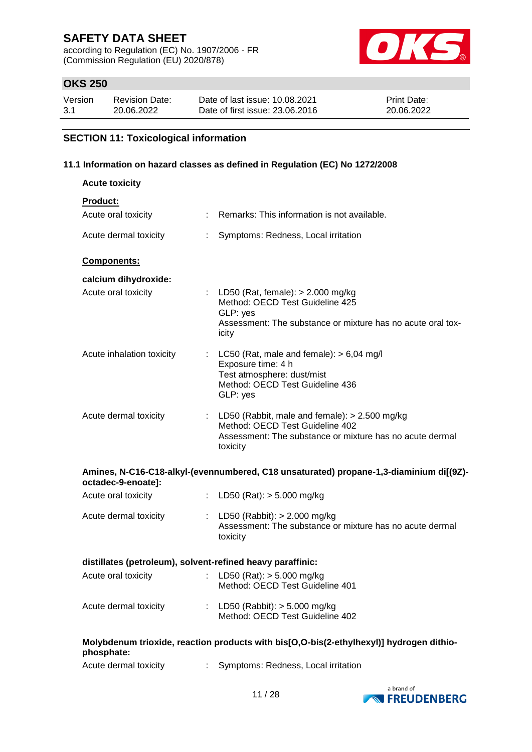according to Regulation (EC) No. 1907/2006 - FR (Commission Regulation (EU) 2020/878)



### **OKS 250**

| Version | <b>Revision Date:</b> | Date of last issue: 10.08.2021  | <b>Print Date:</b> |
|---------|-----------------------|---------------------------------|--------------------|
| 3.1     | 20.06.2022            | Date of first issue: 23,06,2016 | 20.06.2022         |

# **SECTION 11: Toxicological information**

### **11.1 Information on hazard classes as defined in Regulation (EC) No 1272/2008**

| <b>Acute toxicity</b>                                      |   |                                                                                                                                                              |  |  |
|------------------------------------------------------------|---|--------------------------------------------------------------------------------------------------------------------------------------------------------------|--|--|
| <b>Product:</b>                                            |   |                                                                                                                                                              |  |  |
| Acute oral toxicity                                        |   | Remarks: This information is not available.                                                                                                                  |  |  |
| Acute dermal toxicity                                      | ÷ | Symptoms: Redness, Local irritation                                                                                                                          |  |  |
| Components:                                                |   |                                                                                                                                                              |  |  |
| calcium dihydroxide:                                       |   |                                                                                                                                                              |  |  |
| Acute oral toxicity                                        |   | : LD50 (Rat, female): $> 2.000$ mg/kg<br>Method: OECD Test Guideline 425<br>GLP: yes<br>Assessment: The substance or mixture has no acute oral tox-<br>icity |  |  |
| Acute inhalation toxicity                                  |   | : LC50 (Rat, male and female): $> 6,04$ mg/l<br>Exposure time: 4 h<br>Test atmosphere: dust/mist<br>Method: OECD Test Guideline 436<br>GLP: yes              |  |  |
| Acute dermal toxicity                                      |   | : LD50 (Rabbit, male and female): $> 2.500$ mg/kg<br>Method: OECD Test Guideline 402<br>Assessment: The substance or mixture has no acute dermal<br>toxicity |  |  |
| octadec-9-enoate]:                                         |   | Amines, N-C16-C18-alkyl-(evennumbered, C18 unsaturated) propane-1,3-diaminium di[(9Z)-                                                                       |  |  |
| Acute oral toxicity                                        |   | : LD50 (Rat): $>$ 5.000 mg/kg                                                                                                                                |  |  |
| Acute dermal toxicity                                      |   | LD50 (Rabbit): $> 2.000$ mg/kg<br>Assessment: The substance or mixture has no acute dermal<br>toxicity                                                       |  |  |
| distillates (petroleum), solvent-refined heavy paraffinic: |   |                                                                                                                                                              |  |  |
| Acute oral toxicity                                        |   | : LD50 (Rat): $>$ 5.000 mg/kg<br>Method: OECD Test Guideline 401                                                                                             |  |  |
| Acute dermal toxicity                                      |   | : LD50 (Rabbit): $> 5.000$ mg/kg<br>Method: OECD Test Guideline 402                                                                                          |  |  |
| phosphate:                                                 |   | Molybdenum trioxide, reaction products with bis[O,O-bis(2-ethylhexyl)] hydrogen dithio-                                                                      |  |  |

| Acute dermal toxicity |  | Symptoms: Redness, Local irritation |
|-----------------------|--|-------------------------------------|
|-----------------------|--|-------------------------------------|

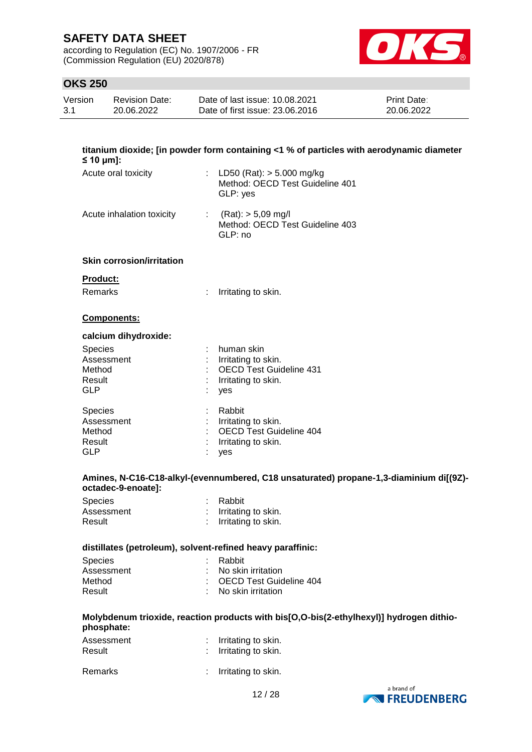according to Regulation (EC) No. 1907/2006 - FR (Commission Regulation (EU) 2020/878)



### **OKS 250**

| Version | Revision Date: | Date of last issue: 10.08.2021  | <b>Print Date:</b> |
|---------|----------------|---------------------------------|--------------------|
| 3.1     | 20.06.2022     | Date of first issue: 23,06,2016 | 20.06.2022         |

| $\leq 10$ µm]:                                                 | titanium dioxide; [in powder form containing <1 % of particles with aerodynamic diameter          |
|----------------------------------------------------------------|---------------------------------------------------------------------------------------------------|
| Acute oral toxicity                                            | : LD50 (Rat): $> 5.000$ mg/kg<br>Method: OECD Test Guideline 401<br>GLP: yes                      |
| Acute inhalation toxicity                                      | : $(Rat):$ > 5,09 mg/l<br>Method: OECD Test Guideline 403<br>GLP: no                              |
| <b>Skin corrosion/irritation</b>                               |                                                                                                   |
| Product:                                                       |                                                                                                   |
| <b>Remarks</b><br>$\mathbb{Z}^{\times}$                        | Irritating to skin.                                                                               |
| Components:                                                    |                                                                                                   |
| calcium dihydroxide:                                           |                                                                                                   |
| Species<br>Assessment<br>Method<br>Result<br><b>GLP</b>        | human skin<br>Irritating to skin.<br><b>OECD Test Guideline 431</b><br>Irritating to skin.<br>yes |
| <b>Species</b><br>Assessment<br>Method<br>Result<br><b>GLP</b> | Rabbit<br>: Irritating to skin.<br><b>OECD Test Guideline 404</b><br>Irritating to skin.<br>yes   |
| octadec-9-enoate]:                                             | Amines, N-C16-C18-alkyl-(evennumbered, C18 unsaturated) propane-1,3-diaminium di[(9Z)-            |
| Species<br>Assessment<br>Result                                | Rabbit<br>: Irritating to skin.<br>Irritating to skin.                                            |
| distillates (petroleum), solvent-refined heavy paraffinic:     |                                                                                                   |
| Species                                                        | Rabbit                                                                                            |
| Assessment                                                     | No skin irritation                                                                                |
| Method                                                         | : OECD Test Guideline 404                                                                         |
| Result                                                         | : No skin irritation                                                                              |
|                                                                | Molybdenum trioxide, reaction products with bis[O,O-bis(2-ethylhexyl)] hydrogen dithio-           |

### **phosphate:**

| Assessment<br>Result | : Irritating to skin.<br>: Irritating to skin. |
|----------------------|------------------------------------------------|
| Remarks              | : Irritating to skin.                          |

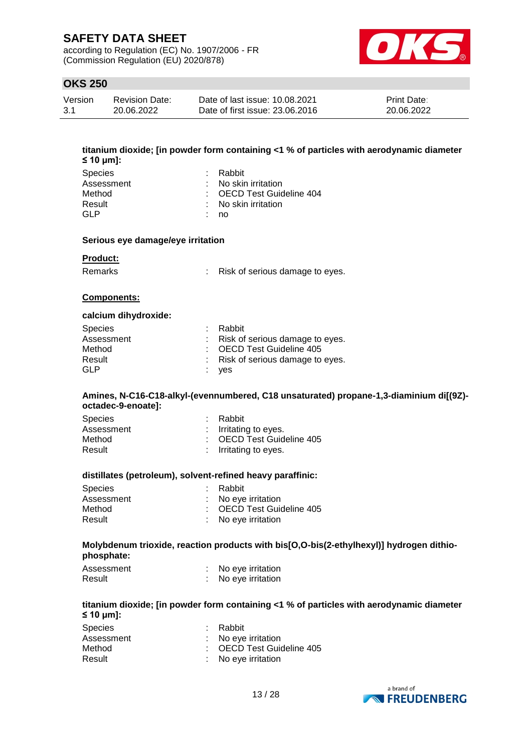according to Regulation (EC) No. 1907/2006 - FR (Commission Regulation (EU) 2020/878)



### **OKS 250**

| Version | <b>Revision Date:</b> | Date of last issue: 10.08.2021  | <b>Print Date:</b> |
|---------|-----------------------|---------------------------------|--------------------|
| 3.1     | 20.06.2022            | Date of first issue: 23,06,2016 | 20.06.2022         |

| $\leq 10 \text{ µm}$ : | titanium dioxide; [in powder form containing <1 % of particles with aerodynamic diameter |
|------------------------|------------------------------------------------------------------------------------------|
| Species                | Rabbit                                                                                   |
| Accaccmant             | No ekin irritation                                                                       |

| Assessment | : No skin irritation             |
|------------|----------------------------------|
| Method     | : OECD Test Guideline 404        |
| Result     | $\therefore$ No skin irritation. |
| GI P       | : no                             |

#### **Serious eye damage/eye irritation**

#### **Product:**

Remarks : Risk of serious damage to eyes.

#### **Components:**

#### **calcium dihydroxide:**

| <b>Species</b> | : Rabbit                          |
|----------------|-----------------------------------|
| Assessment     | : Risk of serious damage to eyes. |
| Method         | : OECD Test Guideline 405         |
| Result         | : Risk of serious damage to eyes. |
| GLP            | : ves                             |

### **Amines, N-C16-C18-alkyl-(evennumbered, C18 unsaturated) propane-1,3-diaminium di[(9Z) octadec-9-enoate]:**

| : Rabbit                  |
|---------------------------|
| : Irritating to eyes.     |
| : OECD Test Guideline 405 |
| : Irritating to eyes.     |
|                           |

#### **distillates (petroleum), solvent-refined heavy paraffinic:**

| <b>Species</b><br>Assessment | : Rabbit<br>: No eye irritation |
|------------------------------|---------------------------------|
| Method                       | : OECD Test Guideline 405       |
| Result                       | : No eye irritation             |

#### **Molybdenum trioxide, reaction products with bis[O,O-bis(2-ethylhexyl)] hydrogen dithiophosphate:**

| Assessment | No eye irritation |
|------------|-------------------|
| Result     | No eye irritation |

#### **titanium dioxide; [in powder form containing <1 % of particles with aerodynamic diameter ≤ 10 μm]:**

| <b>Species</b> | : Rabbit                  |
|----------------|---------------------------|
| Assessment     | : No eye irritation       |
| Method         | : OECD Test Guideline 405 |
| Result         | : No eye irritation       |

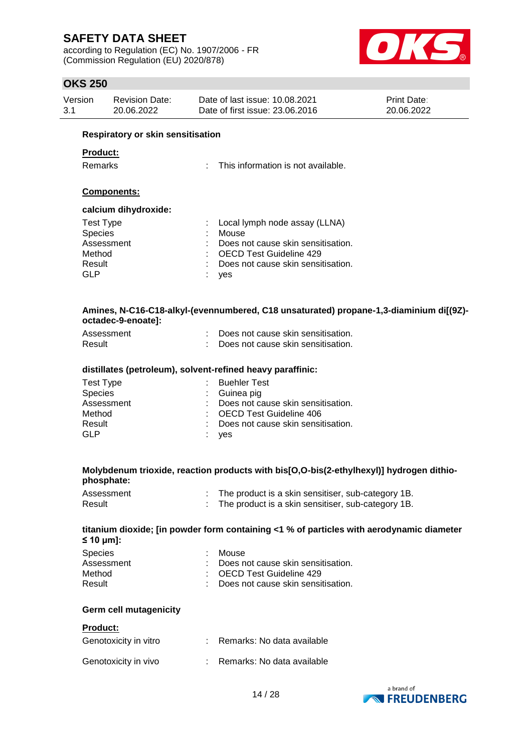according to Regulation (EC) No. 1907/2006 - FR (Commission Regulation (EU) 2020/878)



### **OKS 250**

| Version<br>Date of last issue: 10.08.2021<br><b>Print Date:</b><br><b>Revision Date:</b><br>Date of first issue: 23,06,2016<br>3.1<br>20.06.2022<br>20.06.2022 |  |
|----------------------------------------------------------------------------------------------------------------------------------------------------------------|--|
|----------------------------------------------------------------------------------------------------------------------------------------------------------------|--|

#### **Respiratory or skin sensitisation**

#### **Product:**

Remarks : This information is not available.

### **Components:**

#### **calcium dihydroxide:**

| Test Type      | : Local lymph node assay (LLNA)      |
|----------------|--------------------------------------|
| <b>Species</b> | : Mouse                              |
| Assessment     | : Does not cause skin sensitisation. |
| Method         | : OECD Test Guideline 429            |
| Result         | : Does not cause skin sensitisation. |
| GLP            | : yes                                |

#### **Amines, N-C16-C18-alkyl-(evennumbered, C18 unsaturated) propane-1,3-diaminium di[(9Z) octadec-9-enoate]:**

| Assessment | Does not cause skin sensitisation. |
|------------|------------------------------------|
| Result     | Does not cause skin sensitisation. |

#### **distillates (petroleum), solvent-refined heavy paraffinic:**

| : Buehler Test                       |
|--------------------------------------|
| : Guinea pig                         |
| : Does not cause skin sensitisation. |
| : OECD Test Guideline 406            |
| : Does not cause skin sensitisation. |
| : yes                                |
|                                      |

#### **Molybdenum trioxide, reaction products with bis[O,O-bis(2-ethylhexyl)] hydrogen dithiophosphate:**

| Assessment | The product is a skin sensitiser, sub-category 1B. |
|------------|----------------------------------------------------|
| Result     | The product is a skin sensitiser, sub-category 1B. |

#### **titanium dioxide; [in powder form containing <1 % of particles with aerodynamic diameter ≤ 10 μm]:**

| <b>Species</b> | : Mouse                                         |
|----------------|-------------------------------------------------|
| Assessment     | $\therefore$ Does not cause skin sensitisation. |
| Method         | : OECD Test Guideline 429                       |
| Result         | : Does not cause skin sensitisation.            |

#### **Germ cell mutagenicity**

#### **Product:**

| Genotoxicity in vitro | Remarks: No data available   |
|-----------------------|------------------------------|
| Genotoxicity in vivo  | : Remarks: No data available |

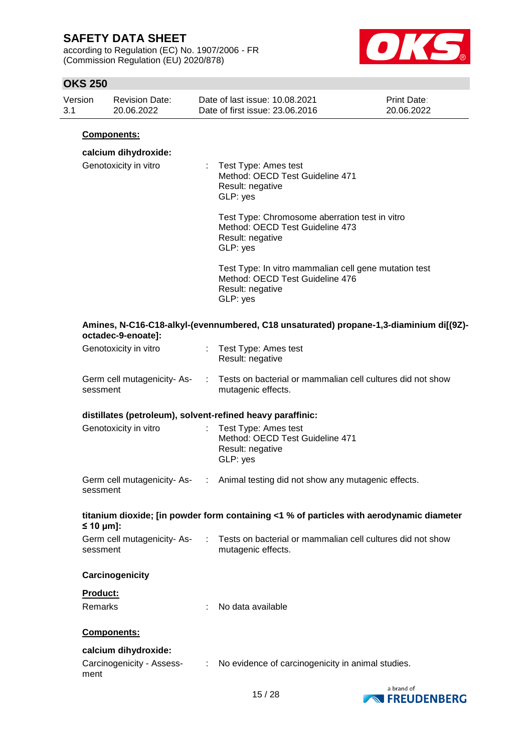according to Regulation (EC) No. 1907/2006 - FR (Commission Regulation (EU) 2020/878)



### **OKS 250**

| Version | Revision Date: | Date of last issue: 10.08.2021  | <b>Print Date:</b> |
|---------|----------------|---------------------------------|--------------------|
| -3.1    | 20.06.2022     | Date of first issue: 23,06,2016 | 20.06.2022         |

#### **Components:**

### **calcium dihydroxide:**

| Genotoxicity in vitro | : Test Type: Ames test<br>Method: OECD Test Guideline 471<br>Result: negative<br>GLP: yes                                |
|-----------------------|--------------------------------------------------------------------------------------------------------------------------|
|                       | Test Type: Chromosome aberration test in vitro<br>Method: OECD Test Guideline 473<br>Result: negative<br>GLP: yes        |
|                       | Test Type: In vitro mammalian cell gene mutation test<br>Method: OECD Test Guideline 476<br>Result: negative<br>GLP: yes |
| octadec-9-enoate]:    | Amines, N-C16-C18-alkyl-(evennumbered, C18 unsaturated) propane-1,3-diaminium di[(9Z)-                                   |

| Genotoxicity in vitro       | : Test Type: Ames test<br>Result: negative              |
|-----------------------------|---------------------------------------------------------|
| Corm coll mutogonicity. Ac- | Tosts on basterial or mammalian cell sultures did not s |

| Germ cell mutagenicity- As- | Tests on bacterial or mammalian cell cultures did not show |
|-----------------------------|------------------------------------------------------------|
| sessment                    | mutagenic effects.                                         |

### **distillates (petroleum), solvent-refined heavy paraffinic:**

| Genotoxicity in vitro | : Test Type: Ames test<br>Method: OECD Test Guideline 471<br>Result: negative<br>GLP: yes |
|-----------------------|-------------------------------------------------------------------------------------------|
|-----------------------|-------------------------------------------------------------------------------------------|

| Germ cell mutagenicity- As- | Animal testing did not show any mutagenic effects. |
|-----------------------------|----------------------------------------------------|
| sessment                    |                                                    |

### **titanium dioxide; [in powder form containing <1 % of particles with aerodynamic diameter ≤ 10 μm]:**

| Germ cell mutagenicity- As- | Tests on bacterial or mammalian cell cultures did not show |
|-----------------------------|------------------------------------------------------------|
| sessment                    | mutagenic effects.                                         |

### **Carcinogenicity**

### **Product:**

| Remarks | No data available |
|---------|-------------------|
|         |                   |

### **Components:**

### **calcium dihydroxide:**

| Carcinogenicity - Assess- | No evidence of carcinogenicity in animal studies. |
|---------------------------|---------------------------------------------------|
| ment                      |                                                   |

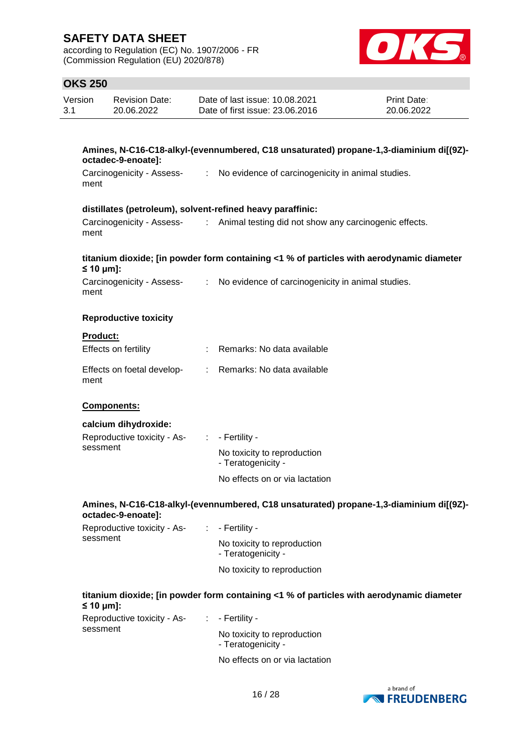according to Regulation (EC) No. 1907/2006 - FR (Commission Regulation (EU) 2020/878)



### **OKS 250**

| <b>Revision Date:</b><br>Version |                           | Date of last issue: 10.08.2021                                                         | Print Date: |
|----------------------------------|---------------------------|----------------------------------------------------------------------------------------|-------------|
| 3.1                              | 20.06.2022                | Date of first issue: 23,06,2016                                                        | 20.06.2022  |
|                                  |                           |                                                                                        |             |
|                                  | octadec-9-enoate]:        | Amines, N-C16-C18-alkyl-(evennumbered, C18 unsaturated) propane-1,3-diaminium di[(9Z)- |             |
| ment                             | Carcinogenicity - Assess- | No evidence of carcinogenicity in animal studies.                                      |             |

#### **distillates (petroleum), solvent-refined heavy paraffinic:**

| Carcinogenicity - Assess- | Animal testing did not show any carcinogenic effects. |  |  |
|---------------------------|-------------------------------------------------------|--|--|
| ment                      |                                                       |  |  |

### **titanium dioxide; [in powder form containing <1 % of particles with aerodynamic diameter ≤ 10 μm]:**

| Carcinogenicity - Assess- | No evidence of carcinogenicity in animal studies. |
|---------------------------|---------------------------------------------------|
| ment                      |                                                   |

#### **Reproductive toxicity**

| Product: |  |
|----------|--|
|          |  |

| Effects on fertility               | : Remarks: No data available |
|------------------------------------|------------------------------|
| Effects on foetal develop-<br>ment | : Remarks: No data available |

### **Components:**

| calcium dihydroxide:        |                                                   |
|-----------------------------|---------------------------------------------------|
| Reproductive toxicity - As- | $\therefore$ - Fertility -                        |
| sessment                    | No toxicity to reproduction<br>- Teratogenicity - |

No effects on or via lactation

#### **Amines, N-C16-C18-alkyl-(evennumbered, C18 unsaturated) propane-1,3-diaminium di[(9Z) octadec-9-enoate]:**

| Reproductive toxicity - As-<br>sessment | $\therefore$ - Fertility -                        |
|-----------------------------------------|---------------------------------------------------|
|                                         | No toxicity to reproduction<br>- Teratogenicity - |
|                                         | No toxicity to reproduction                       |

### **titanium dioxide; [in powder form containing <1 % of particles with aerodynamic diameter ≤ 10 μm]:**

| Reproductive toxicity - As-<br>sessment | $\therefore$ - Fertility -                        |
|-----------------------------------------|---------------------------------------------------|
|                                         | No toxicity to reproduction<br>- Teratogenicity - |
|                                         | No effects on or via lactation                    |

a brand of **EXPRESSION FREUDENBERG**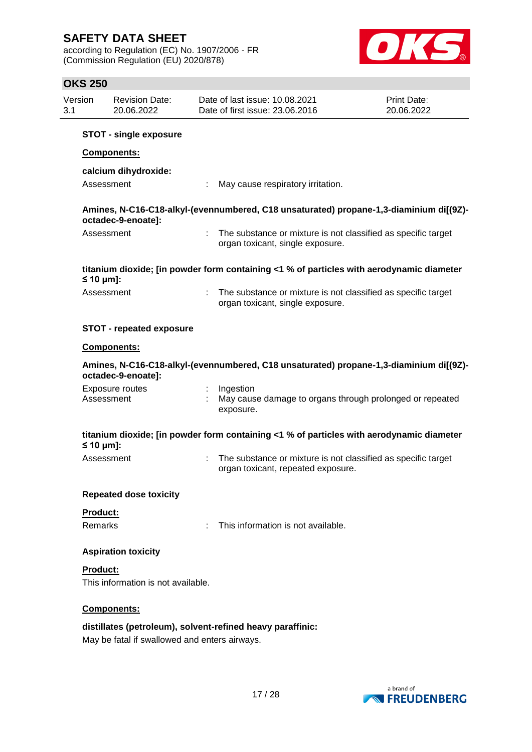according to Regulation (EC) No. 1907/2006 - FR (Commission Regulation (EU) 2020/878)



| Version<br>3.1 | <b>Revision Date:</b><br>20.06.2022           | Date of last issue: 10.08.2021<br>Print Date:<br>Date of first issue: 23.06.2016<br>20.06.2022      |  |
|----------------|-----------------------------------------------|-----------------------------------------------------------------------------------------------------|--|
|                | <b>STOT - single exposure</b>                 |                                                                                                     |  |
|                | Components:                                   |                                                                                                     |  |
|                | calcium dihydroxide:                          |                                                                                                     |  |
|                | Assessment                                    | May cause respiratory irritation.                                                                   |  |
|                | octadec-9-enoate]:                            | Amines, N-C16-C18-alkyl-(evennumbered, C18 unsaturated) propane-1,3-diaminium di[(9Z)-              |  |
|                | Assessment                                    | The substance or mixture is not classified as specific target<br>organ toxicant, single exposure.   |  |
| $\leq 10$ µm]: |                                               | titanium dioxide; [in powder form containing <1 % of particles with aerodynamic diameter            |  |
|                | Assessment                                    | The substance or mixture is not classified as specific target<br>organ toxicant, single exposure.   |  |
|                | <b>STOT - repeated exposure</b>               |                                                                                                     |  |
|                | Components:                                   |                                                                                                     |  |
|                | octadec-9-enoate]:                            | Amines, N-C16-C18-alkyl-(evennumbered, C18 unsaturated) propane-1,3-diaminium di[(9Z)-              |  |
|                | <b>Exposure routes</b><br>Assessment          | Ingestion<br>May cause damage to organs through prolonged or repeated<br>exposure.                  |  |
| $\leq 10$ µm]: |                                               | titanium dioxide; [in powder form containing <1 % of particles with aerodynamic diameter            |  |
|                | Assessment                                    | The substance or mixture is not classified as specific target<br>organ toxicant, repeated exposure. |  |
|                | <b>Repeated dose toxicity</b>                 |                                                                                                     |  |
| Product:       |                                               |                                                                                                     |  |
| <b>Remarks</b> |                                               | This information is not available.                                                                  |  |
|                | <b>Aspiration toxicity</b>                    |                                                                                                     |  |
| Product:       | This information is not available.            |                                                                                                     |  |
|                | Components:                                   |                                                                                                     |  |
|                | May be fatal if swallowed and enters airways. | distillates (petroleum), solvent-refined heavy paraffinic:                                          |  |

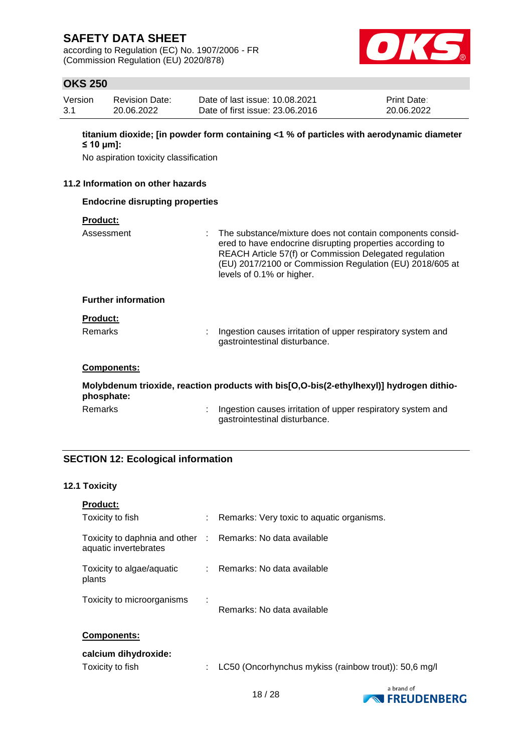according to Regulation (EC) No. 1907/2006 - FR (Commission Regulation (EU) 2020/878)



### **OKS 250**

| Version | Revision Date: | Date of last issue: 10.08.2021  | <b>Print Date:</b> |
|---------|----------------|---------------------------------|--------------------|
| -3.1    | 20.06.2022     | Date of first issue: 23,06,2016 | 20.06.2022         |

**titanium dioxide; [in powder form containing <1 % of particles with aerodynamic diameter ≤ 10 μm]:**

No aspiration toxicity classification

### **11.2 Information on other hazards**

### **Endocrine disrupting properties**

| <b>Product:</b> |  |
|-----------------|--|
|                 |  |

| Assessment                 | : The substance/mixture does not contain components consid-<br>ered to have endocrine disrupting properties according to<br>REACH Article 57(f) or Commission Delegated regulation<br>(EU) 2017/2100 or Commission Regulation (EU) 2018/605 at<br>levels of 0.1% or higher. |
|----------------------------|-----------------------------------------------------------------------------------------------------------------------------------------------------------------------------------------------------------------------------------------------------------------------------|
| <b>Further information</b> |                                                                                                                                                                                                                                                                             |
| <b>Product:</b>            |                                                                                                                                                                                                                                                                             |
| Remarks                    | Ingestion causes irritation of upper respiratory system and<br>gastrointestinal disturbance.                                                                                                                                                                                |
| <b>Components:</b>         |                                                                                                                                                                                                                                                                             |
|                            | Molybdenum trioxide, reaction products with bis[O,O-bis(2-ethylhexyl)] hydrogen dithio-                                                                                                                                                                                     |

#### **phosphate:**

Remarks : Ingestion causes irritation of upper respiratory system and gastrointestinal disturbance.

### **SECTION 12: Ecological information**

#### **12.1 Toxicity**

| <b>Product:</b>                                                                     |   |                                                       |
|-------------------------------------------------------------------------------------|---|-------------------------------------------------------|
| Toxicity to fish                                                                    |   | Remarks: Very toxic to aquatic organisms.             |
| Toxicity to daphnia and other : Remarks: No data available<br>aquatic invertebrates |   |                                                       |
| Toxicity to algae/aquatic<br>plants                                                 |   | : Remarks: No data available                          |
| Toxicity to microorganisms                                                          | ÷ | Remarks: No data available                            |
| <b>Components:</b>                                                                  |   |                                                       |
| calcium dihydroxide:<br>Toxicity to fish                                            |   | LC50 (Oncorhynchus mykiss (rainbow trout)): 50,6 mg/l |

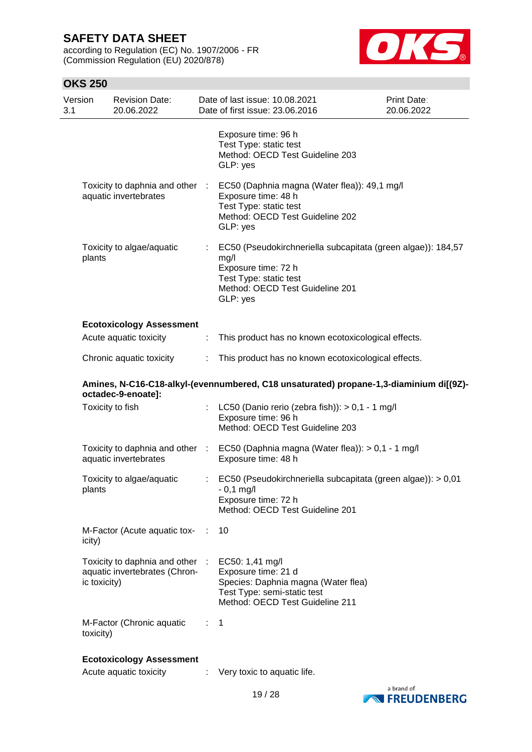according to Regulation (EC) No. 1907/2006 - FR (Commission Regulation (EU) 2020/878)



| 3.1 | Version      | <b>Revision Date:</b><br>20.06.2022                            |                              | Date of last issue: 10.08.2021<br>Date of first issue: 23.06.2016                                                                                                    | <b>Print Date:</b><br>20.06.2022 |
|-----|--------------|----------------------------------------------------------------|------------------------------|----------------------------------------------------------------------------------------------------------------------------------------------------------------------|----------------------------------|
|     |              |                                                                |                              | Exposure time: 96 h<br>Test Type: static test<br>Method: OECD Test Guideline 203<br>GLP: yes                                                                         |                                  |
|     |              | Toxicity to daphnia and other :<br>aquatic invertebrates       |                              | EC50 (Daphnia magna (Water flea)): 49,1 mg/l<br>Exposure time: 48 h<br>Test Type: static test<br>Method: OECD Test Guideline 202<br>GLP: yes                         |                                  |
|     | plants       | Toxicity to algae/aquatic                                      | ÷                            | EC50 (Pseudokirchneriella subcapitata (green algae)): 184,57<br>mg/l<br>Exposure time: 72 h<br>Test Type: static test<br>Method: OECD Test Guideline 201<br>GLP: yes |                                  |
|     |              | <b>Ecotoxicology Assessment</b>                                |                              |                                                                                                                                                                      |                                  |
|     |              | Acute aquatic toxicity                                         | ÷                            | This product has no known ecotoxicological effects.                                                                                                                  |                                  |
|     |              | Chronic aquatic toxicity                                       | ÷                            | This product has no known ecotoxicological effects.                                                                                                                  |                                  |
|     |              | octadec-9-enoate]:                                             |                              | Amines, N-C16-C18-alkyl-(evennumbered, C18 unsaturated) propane-1,3-diaminium di[(9Z)-                                                                               |                                  |
|     |              | Toxicity to fish                                               |                              | LC50 (Danio rerio (zebra fish)): $> 0.1 - 1$ mg/l<br>Exposure time: 96 h<br>Method: OECD Test Guideline 203                                                          |                                  |
|     |              | aquatic invertebrates                                          |                              | Toxicity to daphnia and other : EC50 (Daphnia magna (Water flea)): > 0,1 - 1 mg/l<br>Exposure time: 48 h                                                             |                                  |
|     | plants       | Toxicity to algae/aquatic                                      | $\mathcal{L}_{\mathrm{max}}$ | EC50 (Pseudokirchneriella subcapitata (green algae)): > 0,01<br>$-0,1$ mg/l<br>Exposure time: 72 h<br>Method: OECD Test Guideline 201                                |                                  |
|     | icity)       | M-Factor (Acute aquatic tox-                                   | ÷.                           | 10                                                                                                                                                                   |                                  |
|     | ic toxicity) | Toxicity to daphnia and other<br>aquatic invertebrates (Chron- | -11                          | EC50: 1,41 mg/l<br>Exposure time: 21 d<br>Species: Daphnia magna (Water flea)<br>Test Type: semi-static test<br>Method: OECD Test Guideline 211                      |                                  |
|     | toxicity)    | M-Factor (Chronic aquatic                                      | t.                           | 1                                                                                                                                                                    |                                  |
|     |              | <b>Ecotoxicology Assessment</b>                                |                              |                                                                                                                                                                      |                                  |
|     |              | Acute aquatic toxicity                                         |                              | Very toxic to aquatic life.                                                                                                                                          |                                  |

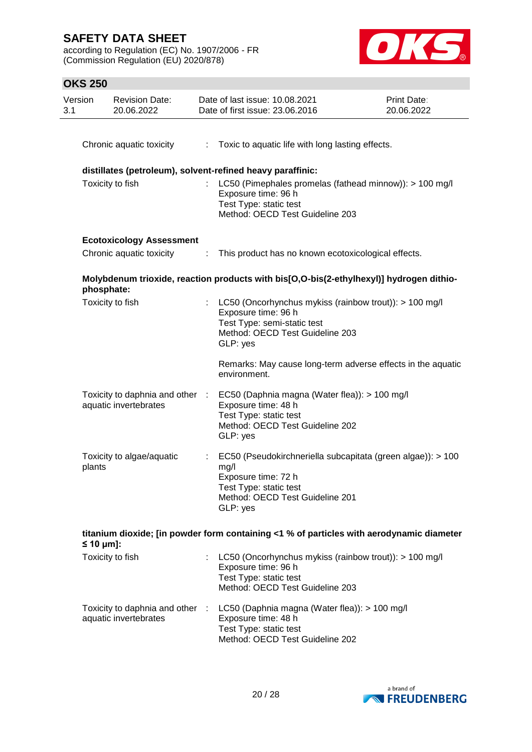according to Regulation (EC) No. 1907/2006 - FR (Commission Regulation (EU) 2020/878)



| Version<br>3.1 | <b>Revision Date:</b><br>20.06.2022                      |    | Date of last issue: 10.08.2021<br><b>Print Date:</b><br>Date of first issue: 23.06.2016<br>20.06.2022                                                               |  |  |
|----------------|----------------------------------------------------------|----|---------------------------------------------------------------------------------------------------------------------------------------------------------------------|--|--|
|                | Chronic aquatic toxicity                                 | t. | Toxic to aquatic life with long lasting effects.                                                                                                                    |  |  |
|                |                                                          |    | distillates (petroleum), solvent-refined heavy paraffinic:                                                                                                          |  |  |
|                | Toxicity to fish                                         |    | LC50 (Pimephales promelas (fathead minnow)): > 100 mg/l<br>Exposure time: 96 h<br>Test Type: static test<br>Method: OECD Test Guideline 203                         |  |  |
|                | <b>Ecotoxicology Assessment</b>                          |    |                                                                                                                                                                     |  |  |
|                | Chronic aquatic toxicity                                 | ÷  | This product has no known ecotoxicological effects.                                                                                                                 |  |  |
|                | phosphate:                                               |    | Molybdenum trioxide, reaction products with bis[O,O-bis(2-ethylhexyl)] hydrogen dithio-                                                                             |  |  |
|                | Toxicity to fish                                         | t. | LC50 (Oncorhynchus mykiss (rainbow trout)): > 100 mg/l<br>Exposure time: 96 h<br>Test Type: semi-static test<br>Method: OECD Test Guideline 203<br>GLP: yes         |  |  |
|                |                                                          |    | Remarks: May cause long-term adverse effects in the aquatic<br>environment.                                                                                         |  |  |
|                | Toxicity to daphnia and other :<br>aquatic invertebrates |    | EC50 (Daphnia magna (Water flea)): > 100 mg/l<br>Exposure time: 48 h<br>Test Type: static test<br>Method: OECD Test Guideline 202<br>GLP: yes                       |  |  |
|                | Toxicity to algae/aquatic<br>plants                      |    | EC50 (Pseudokirchneriella subcapitata (green algae)): > 100<br>mg/l<br>Exposure time: 72 h<br>Test Type: static test<br>Method: OECD Test Guideline 201<br>GLP: yes |  |  |
|                | $\leq 10 \mu m$ ]:                                       |    | titanium dioxide; [in powder form containing <1 % of particles with aerodynamic diameter                                                                            |  |  |
|                | Toxicity to fish                                         |    | LC50 (Oncorhynchus mykiss (rainbow trout)): > 100 mg/l<br>Exposure time: 96 h<br>Test Type: static test<br>Method: OECD Test Guideline 203                          |  |  |
|                | Toxicity to daphnia and other :<br>aquatic invertebrates |    | LC50 (Daphnia magna (Water flea)): > 100 mg/l<br>Exposure time: 48 h<br>Test Type: static test<br>Method: OECD Test Guideline 202                                   |  |  |

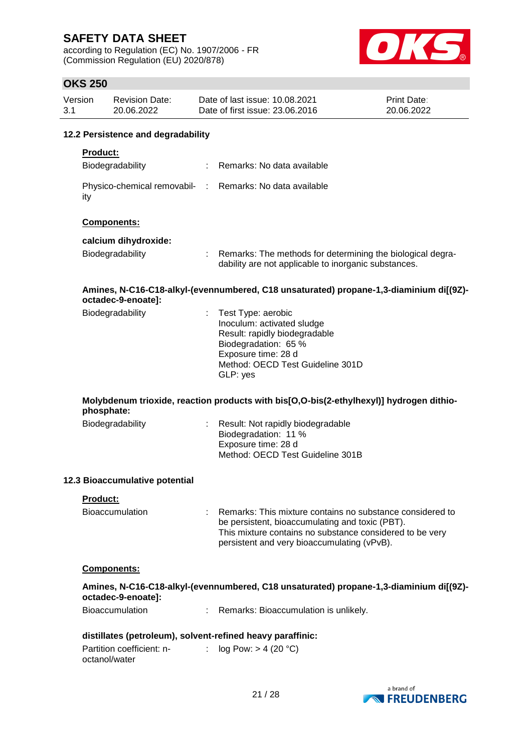according to Regulation (EC) No. 1907/2006 - FR (Commission Regulation (EU) 2020/878)



| Version<br>3.1 |                 | <b>Revision Date:</b><br>20.06.2022        |    | Date of last issue: 10.08.2021<br>Date of first issue: 23.06.2016                                                                                                                                                       | Print Date:<br>20.06.2022 |
|----------------|-----------------|--------------------------------------------|----|-------------------------------------------------------------------------------------------------------------------------------------------------------------------------------------------------------------------------|---------------------------|
|                |                 | 12.2 Persistence and degradability         |    |                                                                                                                                                                                                                         |                           |
|                | <b>Product:</b> | Biodegradability                           | ÷. | Remarks: No data available                                                                                                                                                                                              |                           |
|                | ity             |                                            |    | Physico-chemical removabil- : Remarks: No data available                                                                                                                                                                |                           |
|                |                 | Components:                                |    |                                                                                                                                                                                                                         |                           |
|                |                 | calcium dihydroxide:                       |    |                                                                                                                                                                                                                         |                           |
|                |                 | Biodegradability                           |    | Remarks: The methods for determining the biological degra-<br>dability are not applicable to inorganic substances.                                                                                                      |                           |
|                |                 | octadec-9-enoate]:                         |    | Amines, N-C16-C18-alkyl-(evennumbered, C18 unsaturated) propane-1,3-diaminium di[(9Z)-                                                                                                                                  |                           |
|                |                 | Biodegradability                           |    | Test Type: aerobic<br>Inoculum: activated sludge<br>Result: rapidly biodegradable<br>Biodegradation: 65 %<br>Exposure time: 28 d<br>Method: OECD Test Guideline 301D<br>GLP: yes                                        |                           |
|                | phosphate:      |                                            |    | Molybdenum trioxide, reaction products with bis[O,O-bis(2-ethylhexyl)] hydrogen dithio-                                                                                                                                 |                           |
|                |                 | Biodegradability                           |    | Result: Not rapidly biodegradable<br>Biodegradation: 11 %<br>Exposure time: 28 d<br>Method: OECD Test Guideline 301B                                                                                                    |                           |
|                |                 | 12.3 Bioaccumulative potential             |    |                                                                                                                                                                                                                         |                           |
|                | <b>Product:</b> |                                            |    |                                                                                                                                                                                                                         |                           |
|                |                 | <b>Bioaccumulation</b>                     |    | Remarks: This mixture contains no substance considered to<br>be persistent, bioaccumulating and toxic (PBT).<br>This mixture contains no substance considered to be very<br>persistent and very bioaccumulating (vPvB). |                           |
|                |                 | <b>Components:</b>                         |    |                                                                                                                                                                                                                         |                           |
|                |                 | octadec-9-enoate]:                         |    | Amines, N-C16-C18-alkyl-(evennumbered, C18 unsaturated) propane-1,3-diaminium di[(9Z)-                                                                                                                                  |                           |
|                |                 | <b>Bioaccumulation</b>                     | ÷. | Remarks: Bioaccumulation is unlikely.                                                                                                                                                                                   |                           |
|                |                 |                                            |    | distillates (petroleum), solvent-refined heavy paraffinic:                                                                                                                                                              |                           |
|                |                 | Partition coefficient: n-<br>octanol/water | ÷. | log Pow: > 4 (20 °C)                                                                                                                                                                                                    |                           |
|                |                 |                                            |    |                                                                                                                                                                                                                         | $h$ rand of               |

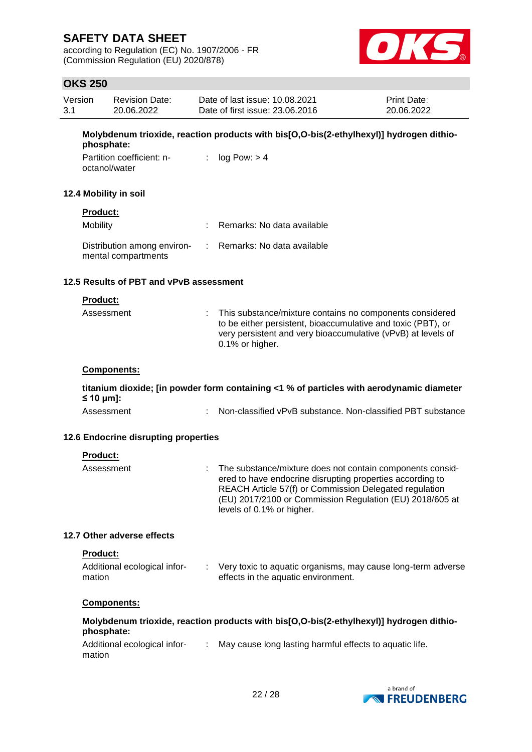according to Regulation (EC) No. 1907/2006 - FR (Commission Regulation (EU) 2020/878)



### **OKS 250**

| Version | <b>Revision Date:</b> | Date of last issue: 10.08.2021  | <b>Print Date:</b> |
|---------|-----------------------|---------------------------------|--------------------|
| -3.1    | 20.06.2022            | Date of first issue: 23,06,2016 | 20.06.2022         |

**Molybdenum trioxide, reaction products with bis[O,O-bis(2-ethylhexyl)] hydrogen dithiophosphate:**

| Partition coefficient: n- | : $log Pow: > 4$ |
|---------------------------|------------------|
| octanol/water             |                  |

#### **12.4 Mobility in soil**

# **Product:**

| Mobility                                           | : Remarks: No data available |
|----------------------------------------------------|------------------------------|
| Distribution among environ-<br>mental compartments | : Remarks: No data available |

### **12.5 Results of PBT and vPvB assessment**

### **Product:**

| Assessment | : This substance/mixture contains no components considered<br>to be either persistent, bioaccumulative and toxic (PBT), or<br>very persistent and very bioaccumulative (vPvB) at levels of<br>0.1% or higher. |
|------------|---------------------------------------------------------------------------------------------------------------------------------------------------------------------------------------------------------------|
|            |                                                                                                                                                                                                               |

### **Components:**

**titanium dioxide; [in powder form containing <1 % of particles with aerodynamic diameter ≤ 10 μm]:**

| Assessment | Non-classified vPvB substance. Non-classified PBT substance |  |
|------------|-------------------------------------------------------------|--|
|------------|-------------------------------------------------------------|--|

### **12.6 Endocrine disrupting properties**

| <b>Product:</b> |                                                                                                                                                                                                                                                                           |
|-----------------|---------------------------------------------------------------------------------------------------------------------------------------------------------------------------------------------------------------------------------------------------------------------------|
| Assessment      | The substance/mixture does not contain components consid-<br>ered to have endocrine disrupting properties according to<br>REACH Article 57(f) or Commission Delegated regulation<br>(EU) 2017/2100 or Commission Regulation (EU) 2018/605 at<br>levels of 0.1% or higher. |

### **12.7 Other adverse effects**

#### **Product:**

| Additional ecological infor- | Very toxic to aquatic organisms, may cause long-term adverse |
|------------------------------|--------------------------------------------------------------|
| mation                       | effects in the aquatic environment.                          |
|                              |                                                              |

### **Components:**

| Molybdenum trioxide, reaction products with bis[O,O-bis(2-ethylhexyl)] hydrogen dithio- |  |
|-----------------------------------------------------------------------------------------|--|
| phosphate:                                                                              |  |

| Additional ecological infor- | May cause long lasting harmful effects to aquatic life. |
|------------------------------|---------------------------------------------------------|
| mation                       |                                                         |

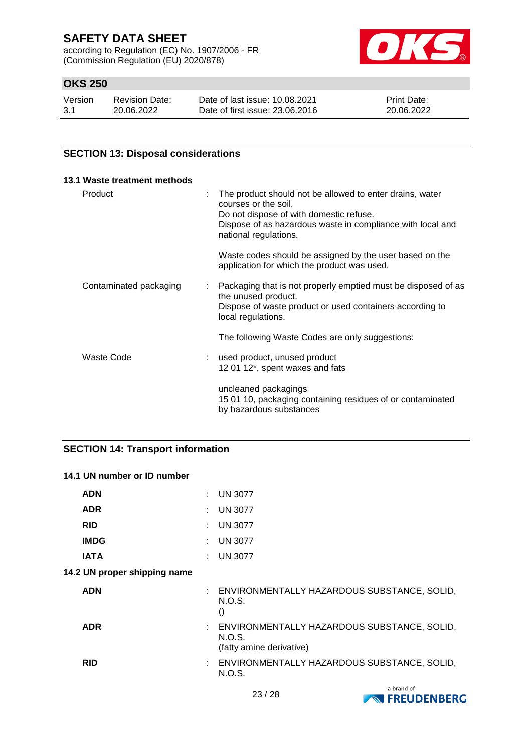according to Regulation (EC) No. 1907/2006 - FR (Commission Regulation (EU) 2020/878)



### **OKS 250**

| Version | <b>Revision Date:</b> | Date of last issue: 10.08.2021  | <b>Print Date:</b> |
|---------|-----------------------|---------------------------------|--------------------|
| -3.1    | 20.06.2022            | Date of first issue: 23,06,2016 | 20.06.2022         |

### **SECTION 13: Disposal considerations**

| 13.1 Waste treatment methods |  |                                                                                                                                                                                                                    |
|------------------------------|--|--------------------------------------------------------------------------------------------------------------------------------------------------------------------------------------------------------------------|
| Product                      |  | The product should not be allowed to enter drains, water<br>courses or the soil.<br>Do not dispose of with domestic refuse.<br>Dispose of as hazardous waste in compliance with local and<br>national regulations. |
|                              |  | Waste codes should be assigned by the user based on the<br>application for which the product was used.                                                                                                             |
| Contaminated packaging       |  | Packaging that is not properly emptied must be disposed of as<br>the unused product.<br>Dispose of waste product or used containers according to<br>local regulations.                                             |
|                              |  | The following Waste Codes are only suggestions:                                                                                                                                                                    |
| Waste Code                   |  | used product, unused product<br>12 01 12*, spent waxes and fats                                                                                                                                                    |
|                              |  | uncleaned packagings<br>15 01 10, packaging containing residues of or contaminated<br>by hazardous substances                                                                                                      |

### **SECTION 14: Transport information**

| 14.1 UN number or ID number  |  |                                                                                     |  |  |
|------------------------------|--|-------------------------------------------------------------------------------------|--|--|
| <b>ADN</b>                   |  | <b>UN 3077</b>                                                                      |  |  |
| <b>ADR</b>                   |  | <b>UN 3077</b>                                                                      |  |  |
| <b>RID</b>                   |  | <b>UN 3077</b>                                                                      |  |  |
| <b>IMDG</b>                  |  | <b>UN 3077</b>                                                                      |  |  |
| <b>IATA</b>                  |  | <b>UN 3077</b>                                                                      |  |  |
| 14.2 UN proper shipping name |  |                                                                                     |  |  |
| <b>ADN</b>                   |  | : ENVIRONMENTALLY HAZARDOUS SUBSTANCE, SOLID,<br>N.O.S.<br>$\left( \right)$         |  |  |
| <b>ADR</b>                   |  | : ENVIRONMENTALLY HAZARDOUS SUBSTANCE, SOLID,<br>N.O.S.<br>(fatty amine derivative) |  |  |
| <b>RID</b>                   |  | ENVIRONMENTALLY HAZARDOUS SUBSTANCE, SOLID,<br>N.O.S.                               |  |  |

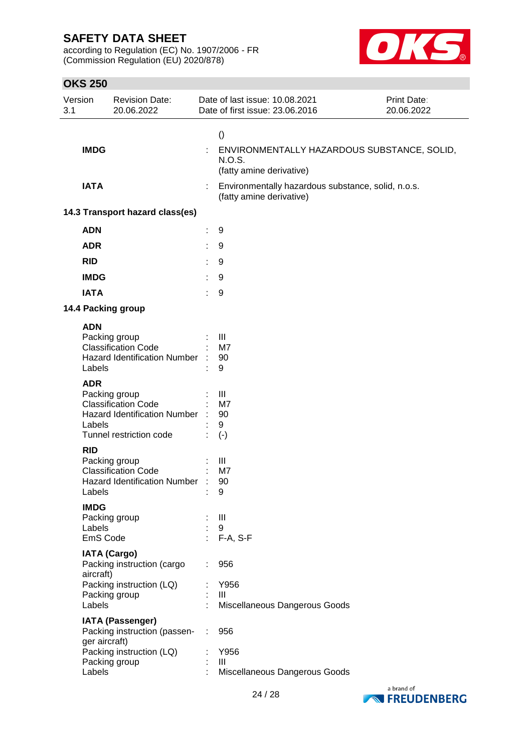according to Regulation (EC) No. 1907/2006 - FR (Commission Regulation (EU) 2020/878)



| Version<br>3.1 |                      | <b>Revision Date:</b><br>20.06.2022                                                                                                                                                                                                                                                                                  | Date of last issue: 10.08.2021<br>Date of first issue: 23.06.2016                 | Print Date:<br>20.06.2022 |
|----------------|----------------------|----------------------------------------------------------------------------------------------------------------------------------------------------------------------------------------------------------------------------------------------------------------------------------------------------------------------|-----------------------------------------------------------------------------------|---------------------------|
|                |                      |                                                                                                                                                                                                                                                                                                                      | $\left( \right)$                                                                  |                           |
|                | <b>IMDG</b>          |                                                                                                                                                                                                                                                                                                                      | ENVIRONMENTALLY HAZARDOUS SUBSTANCE, SOLID,<br>N.O.S.<br>(fatty amine derivative) |                           |
|                | <b>IATA</b>          |                                                                                                                                                                                                                                                                                                                      | Environmentally hazardous substance, solid, n.o.s.<br>(fatty amine derivative)    |                           |
|                |                      | 14.3 Transport hazard class(es)                                                                                                                                                                                                                                                                                      |                                                                                   |                           |
|                | <b>ADN</b>           |                                                                                                                                                                                                                                                                                                                      | 9                                                                                 |                           |
|                | <b>ADR</b>           |                                                                                                                                                                                                                                                                                                                      | 9                                                                                 |                           |
|                | <b>RID</b>           |                                                                                                                                                                                                                                                                                                                      | 9                                                                                 |                           |
|                | <b>IMDG</b>          |                                                                                                                                                                                                                                                                                                                      | 9                                                                                 |                           |
|                | <b>IATA</b>          |                                                                                                                                                                                                                                                                                                                      | 9                                                                                 |                           |
|                |                      | 14.4 Packing group                                                                                                                                                                                                                                                                                                   |                                                                                   |                           |
|                | <b>ADN</b>           |                                                                                                                                                                                                                                                                                                                      |                                                                                   |                           |
|                |                      | Packing group<br><b>Classification Code</b>                                                                                                                                                                                                                                                                          | Ш<br>M7                                                                           |                           |
|                |                      | <b>Hazard Identification Number</b>                                                                                                                                                                                                                                                                                  | 90                                                                                |                           |
|                | Labels               |                                                                                                                                                                                                                                                                                                                      | 9                                                                                 |                           |
|                | <b>ADR</b><br>Labels | Packing group<br><b>Classification Code</b><br><b>Hazard Identification Number</b><br>Tunnel restriction code                                                                                                                                                                                                        | Ш<br>M7<br>90<br>9<br>$(-)$                                                       |                           |
|                | <b>RID</b>           |                                                                                                                                                                                                                                                                                                                      |                                                                                   |                           |
|                |                      | Packing group<br><b>Classification Code</b><br><b>Hazard Identification Number</b><br>Labels and the state of the state of the state of the state of the state of the state of the state of the state of the state of the state of the state of the state of the state of the state of the state of the state of the | Ш<br>M7<br>90<br>9                                                                |                           |
|                | <b>IMDG</b>          |                                                                                                                                                                                                                                                                                                                      |                                                                                   |                           |
|                |                      | Packing group                                                                                                                                                                                                                                                                                                        | $\mathbf{III}$                                                                    |                           |
|                | Labels<br>EmS Code   |                                                                                                                                                                                                                                                                                                                      | 9<br>$F-A, S-F$                                                                   |                           |
|                |                      | <b>IATA (Cargo)</b><br>Packing instruction (cargo                                                                                                                                                                                                                                                                    | 956                                                                               |                           |
|                | aircraft)            | Packing instruction (LQ)                                                                                                                                                                                                                                                                                             | Y956                                                                              |                           |
|                |                      | Packing group                                                                                                                                                                                                                                                                                                        | $\mathbf{III}$                                                                    |                           |
|                | Labels               |                                                                                                                                                                                                                                                                                                                      | Miscellaneous Dangerous Goods                                                     |                           |
|                | ger aircraft)        | <b>IATA (Passenger)</b><br>Packing instruction (passen-                                                                                                                                                                                                                                                              | 956                                                                               |                           |
|                |                      | Packing instruction (LQ)<br>Packing group                                                                                                                                                                                                                                                                            | Y956<br>Ш                                                                         |                           |
|                | Labels               |                                                                                                                                                                                                                                                                                                                      | Miscellaneous Dangerous Goods                                                     |                           |

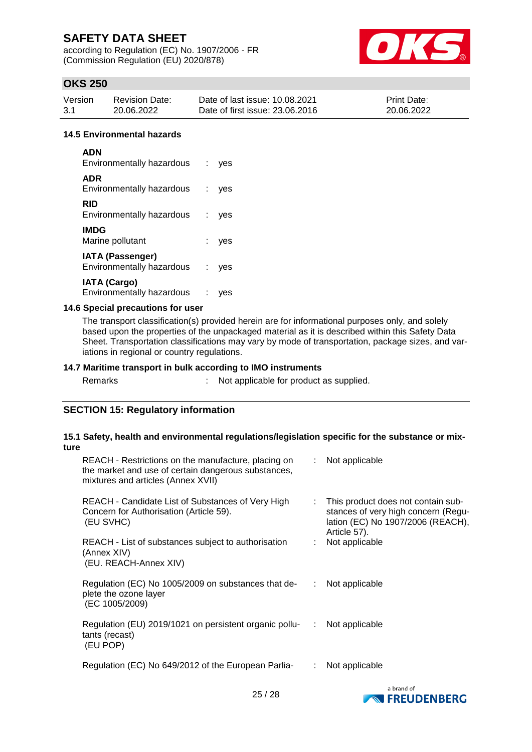according to Regulation (EC) No. 1907/2006 - FR (Commission Regulation (EU) 2020/878)



### **OKS 250**

| Version | <b>Revision Date:</b> | Date of last issue: 10.08.2021  | <b>Print Date:</b> |
|---------|-----------------------|---------------------------------|--------------------|
| -3.1    | 20.06.2022            | Date of first issue: 23,06,2016 | 20.06.2022         |

#### **14.5 Environmental hazards**

| <b>ADN</b><br>Environmentally hazardous              |   | ves |
|------------------------------------------------------|---|-----|
| <b>ADR</b><br>Environmentally hazardous              |   | ves |
| RID<br>Environmentally hazardous                     |   | ves |
| <b>IMDG</b><br>Marine pollutant                      |   | ves |
| <b>IATA (Passenger)</b><br>Environmentally hazardous | ÷ | ves |
| <b>IATA (Cargo)</b><br>Environmentally hazardous     |   |     |

### **14.6 Special precautions for user**

The transport classification(s) provided herein are for informational purposes only, and solely based upon the properties of the unpackaged material as it is described within this Safety Data Sheet. Transportation classifications may vary by mode of transportation, package sizes, and variations in regional or country regulations.

#### **14.7 Maritime transport in bulk according to IMO instruments**

| Remarks |  |
|---------|--|
|         |  |

: Not applicable for product as supplied.

### **SECTION 15: Regulatory information**

#### **15.1 Safety, health and environmental regulations/legislation specific for the substance or mixture**

| REACH - Restrictions on the manufacture, placing on<br>the market and use of certain dangerous substances,<br>mixtures and articles (Annex XVII) |    | $\therefore$ Not applicable                                                                                                      |
|--------------------------------------------------------------------------------------------------------------------------------------------------|----|----------------------------------------------------------------------------------------------------------------------------------|
| REACH - Candidate List of Substances of Very High<br>Concern for Authorisation (Article 59).<br>(EU SVHC)                                        |    | : This product does not contain sub-<br>stances of very high concern (Regu-<br>lation (EC) No 1907/2006 (REACH),<br>Article 57). |
| REACH - List of substances subject to authorisation<br>(Annex XIV)<br>(EU. REACH-Annex XIV)                                                      |    | : Not applicable                                                                                                                 |
| Regulation (EC) No 1005/2009 on substances that de-<br>plete the ozone layer<br>(EC 1005/2009)                                                   |    | Not applicable                                                                                                                   |
| Regulation (EU) 2019/1021 on persistent organic pollu-<br>tants (recast)<br>(EU POP)                                                             | ÷  | Not applicable                                                                                                                   |
| Regulation (EC) No 649/2012 of the European Parlia-                                                                                              | ÷. | Not applicable                                                                                                                   |

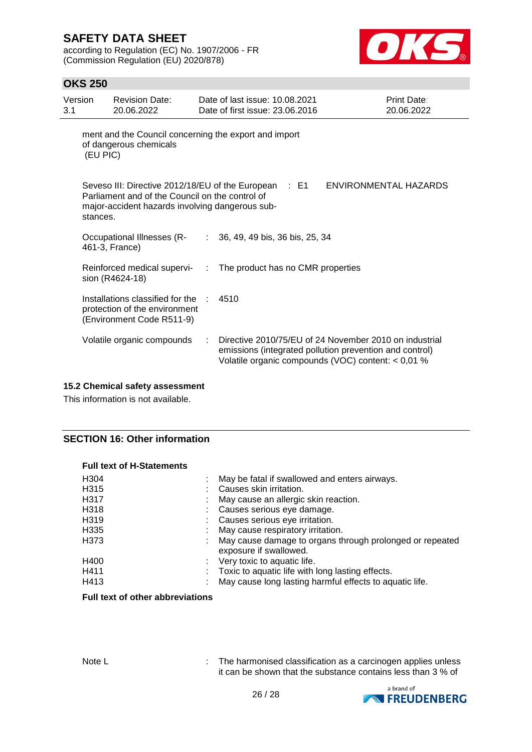according to Regulation (EC) No. 1907/2006 - FR (Commission Regulation (EU) 2020/878)



### **OKS 250**

| Version<br>3.1                                                                              |          | <b>Revision Date:</b><br>20.06.2022                                                                |    | Date of last issue: 10.08.2021<br>Date of first issue: 23.06.2016                                                                                                         | Print Date:<br>20.06.2022 |
|---------------------------------------------------------------------------------------------|----------|----------------------------------------------------------------------------------------------------|----|---------------------------------------------------------------------------------------------------------------------------------------------------------------------------|---------------------------|
| ment and the Council concerning the export and import<br>of dangerous chemicals<br>(EU PIC) |          |                                                                                                    |    |                                                                                                                                                                           |                           |
|                                                                                             | stances. | Parliament and of the Council on the control of<br>major-accident hazards involving dangerous sub- |    | Seveso III: Directive 2012/18/EU of the European : E1                                                                                                                     | ENVIRONMENTAL HAZARDS     |
|                                                                                             |          | Occupational Illnesses (R-<br>461-3, France)                                                       |    | $: 36, 49, 49$ bis, 36 bis, 25, 34                                                                                                                                        |                           |
|                                                                                             |          | Reinforced medical supervi-<br>sion (R4624-18)                                                     | ÷  | The product has no CMR properties                                                                                                                                         |                           |
|                                                                                             |          | Installations classified for the<br>protection of the environment<br>(Environment Code R511-9)     | л. | 4510                                                                                                                                                                      |                           |
|                                                                                             |          | Volatile organic compounds                                                                         |    | Directive 2010/75/EU of 24 November 2010 on industrial<br>emissions (integrated pollution prevention and control)<br>Volatile organic compounds (VOC) content: $< 0.01$ % |                           |

### **15.2 Chemical safety assessment**

This information is not available.

### **SECTION 16: Other information**

### **Full text of H-Statements**

| H <sub>304</sub><br>H <sub>315</sub><br>H317 | May be fatal if swallowed and enters airways.<br>Causes skin irritation.<br>May cause an allergic skin reaction. |
|----------------------------------------------|------------------------------------------------------------------------------------------------------------------|
| H318                                         | Causes serious eye damage.                                                                                       |
| H319                                         | Causes serious eye irritation.                                                                                   |
| H <sub>335</sub>                             | May cause respiratory irritation.                                                                                |
| H373                                         | May cause damage to organs through prolonged or repeated<br>exposure if swallowed.                               |
| H400                                         | Very toxic to aquatic life.                                                                                      |
| H411                                         | Toxic to aquatic life with long lasting effects.                                                                 |
| H413                                         | May cause long lasting harmful effects to aquatic life.                                                          |

### **Full text of other abbreviations**

Note L **Interpreteral Contract Contract Contract** : The harmonised classification as a carcinogen applies unless it can be shown that the substance contains less than 3 % of

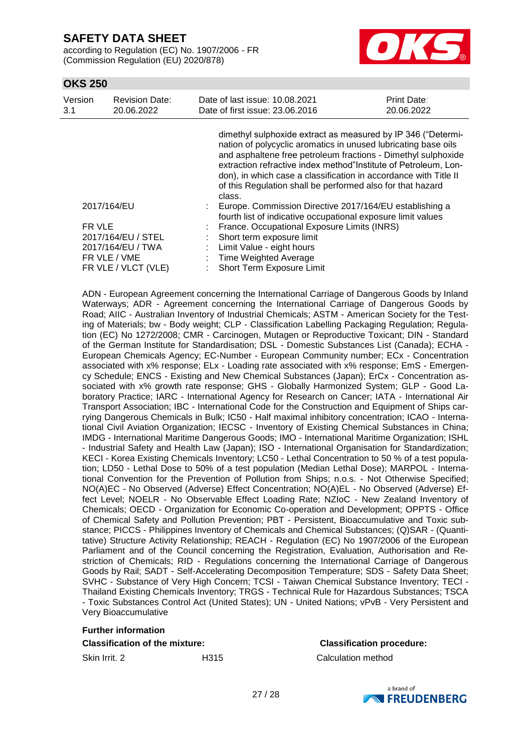according to Regulation (EC) No. 1907/2006 - FR (Commission Regulation (EU) 2020/878)



### **OKS 250**

| Version<br>3.1 | <b>Revision Date:</b><br>20.06.2022 |                                                                                                                                                                                                                                                                                                                                                                                                                | Date of last issue: 10.08.2021<br>Date of first issue: 23,06,2016                                                       | Print Date:<br>20.06.2022 |
|----------------|-------------------------------------|----------------------------------------------------------------------------------------------------------------------------------------------------------------------------------------------------------------------------------------------------------------------------------------------------------------------------------------------------------------------------------------------------------------|-------------------------------------------------------------------------------------------------------------------------|---------------------------|
|                |                                     | dimethyl sulphoxide extract as measured by IP 346 ("Determi-<br>nation of polycyclic aromatics in unused lubricating base oils<br>and asphaltene free petroleum fractions - Dimethyl sulphoxide<br>extraction refractive index method"Institute of Petroleum, Lon-<br>don), in which case a classification in accordance with Title II<br>of this Regulation shall be performed also for that hazard<br>class. |                                                                                                                         |                           |
|                | 2017/164/EU                         |                                                                                                                                                                                                                                                                                                                                                                                                                | Europe. Commission Directive 2017/164/EU establishing a<br>fourth list of indicative occupational exposure limit values |                           |
| FR VLE         |                                     |                                                                                                                                                                                                                                                                                                                                                                                                                | France. Occupational Exposure Limits (INRS)                                                                             |                           |
|                | 2017/164/EU / STEL                  |                                                                                                                                                                                                                                                                                                                                                                                                                | Short term exposure limit                                                                                               |                           |
|                | 2017/164/EU / TWA                   |                                                                                                                                                                                                                                                                                                                                                                                                                | Limit Value - eight hours                                                                                               |                           |
|                | FR VLE / VME                        |                                                                                                                                                                                                                                                                                                                                                                                                                | <b>Time Weighted Average</b>                                                                                            |                           |
|                | FR VLE / VLCT (VLE)                 |                                                                                                                                                                                                                                                                                                                                                                                                                | <b>Short Term Exposure Limit</b>                                                                                        |                           |

ADN - European Agreement concerning the International Carriage of Dangerous Goods by Inland Waterways; ADR - Agreement concerning the International Carriage of Dangerous Goods by Road; AIIC - Australian Inventory of Industrial Chemicals; ASTM - American Society for the Testing of Materials; bw - Body weight; CLP - Classification Labelling Packaging Regulation; Regulation (EC) No 1272/2008; CMR - Carcinogen, Mutagen or Reproductive Toxicant; DIN - Standard of the German Institute for Standardisation; DSL - Domestic Substances List (Canada); ECHA - European Chemicals Agency; EC-Number - European Community number; ECx - Concentration associated with x% response; ELx - Loading rate associated with x% response; EmS - Emergency Schedule; ENCS - Existing and New Chemical Substances (Japan); ErCx - Concentration associated with x% growth rate response; GHS - Globally Harmonized System; GLP - Good Laboratory Practice; IARC - International Agency for Research on Cancer; IATA - International Air Transport Association; IBC - International Code for the Construction and Equipment of Ships carrying Dangerous Chemicals in Bulk; IC50 - Half maximal inhibitory concentration; ICAO - International Civil Aviation Organization; IECSC - Inventory of Existing Chemical Substances in China; IMDG - International Maritime Dangerous Goods; IMO - International Maritime Organization; ISHL - Industrial Safety and Health Law (Japan); ISO - International Organisation for Standardization; KECI - Korea Existing Chemicals Inventory; LC50 - Lethal Concentration to 50 % of a test population; LD50 - Lethal Dose to 50% of a test population (Median Lethal Dose); MARPOL - International Convention for the Prevention of Pollution from Ships; n.o.s. - Not Otherwise Specified; NO(A)EC - No Observed (Adverse) Effect Concentration; NO(A)EL - No Observed (Adverse) Effect Level; NOELR - No Observable Effect Loading Rate; NZIoC - New Zealand Inventory of Chemicals; OECD - Organization for Economic Co-operation and Development; OPPTS - Office of Chemical Safety and Pollution Prevention; PBT - Persistent, Bioaccumulative and Toxic substance; PICCS - Philippines Inventory of Chemicals and Chemical Substances; (Q)SAR - (Quantitative) Structure Activity Relationship; REACH - Regulation (EC) No 1907/2006 of the European Parliament and of the Council concerning the Registration, Evaluation, Authorisation and Restriction of Chemicals; RID - Regulations concerning the International Carriage of Dangerous Goods by Rail; SADT - Self-Accelerating Decomposition Temperature; SDS - Safety Data Sheet; SVHC - Substance of Very High Concern; TCSI - Taiwan Chemical Substance Inventory; TECI - Thailand Existing Chemicals Inventory; TRGS - Technical Rule for Hazardous Substances; TSCA - Toxic Substances Control Act (United States); UN - United Nations; vPvB - Very Persistent and Very Bioaccumulative

#### **Further information**

#### **Classification of the mixture: Classification procedure:**

Skin Irrit. 2 H315 Calculation method